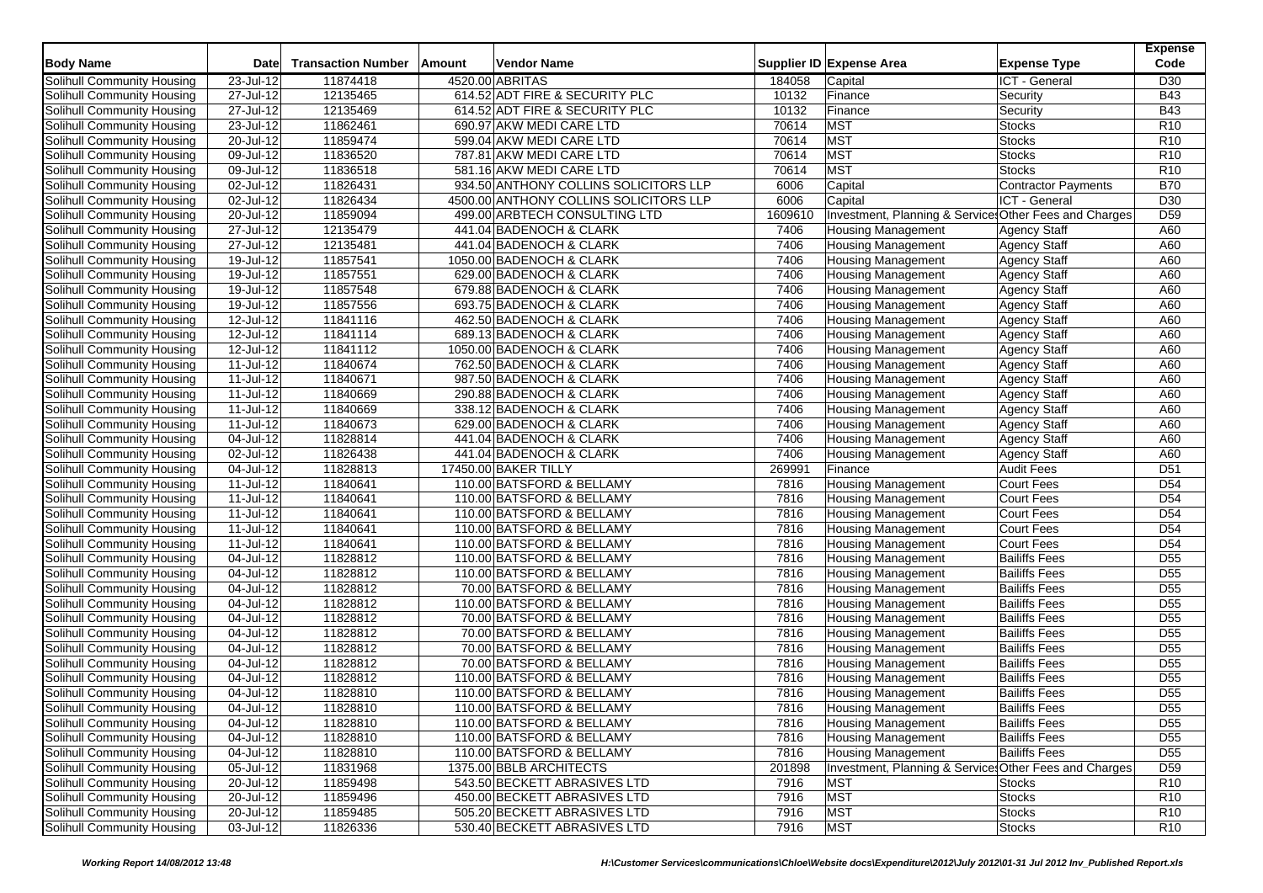| <b>Body Name</b>                                         | <b>Date</b>             | <b>Transaction Number</b> | Amount | Vendor Name                                        |              | Supplier ID Expense Area                               | <b>Expense Type</b>                        | <b>Expense</b><br>Code |
|----------------------------------------------------------|-------------------------|---------------------------|--------|----------------------------------------------------|--------------|--------------------------------------------------------|--------------------------------------------|------------------------|
| Solihull Community Housing                               | 23-Jul-12               | 11874418                  |        | 4520.00 ABRITAS                                    | 184058       | Capital                                                | ICT - General                              | D <sub>30</sub>        |
| Solihull Community Housing                               | 27-Jul-12               | 12135465                  |        | 614.52 ADT FIRE & SECURITY PLC                     | 10132        | Finance                                                | Security                                   | <b>B43</b>             |
| Solihull Community Housing                               | 27-Jul-12               | 12135469                  |        | 614.52 ADT FIRE & SECURITY PLC                     | 10132        | Finance                                                | Security                                   | <b>B43</b>             |
| Solihull Community Housing                               | 23-Jul-12               | 11862461                  |        | 690.97 AKW MEDI CARE LTD                           | 70614        | <b>MST</b>                                             | <b>Stocks</b>                              | R <sub>10</sub>        |
| Solihull Community Housing                               | 20-Jul-12               | 11859474                  |        | 599.04 AKW MEDI CARE LTD                           | 70614        | <b>MST</b>                                             | <b>Stocks</b>                              | R <sub>10</sub>        |
| Solihull Community Housing                               | 09-Jul-12               | 11836520                  |        | 787.81 AKW MEDI CARE LTD                           | 70614        | <b>MST</b>                                             | <b>Stocks</b>                              | R <sub>10</sub>        |
| Solihull Community Housing                               | $\overline{09}$ -Jul-12 | 11836518                  |        | 581.16 AKW MEDI CARE LTD                           | 70614        | <b>MST</b>                                             | <b>Stocks</b>                              | R <sub>10</sub>        |
| Solihull Community Housing                               | 02-Jul-12               | 11826431                  |        | 934.50 ANTHONY COLLINS SOLICITORS LLP              | 6006         | Capital                                                | Contractor Payments                        | <b>B70</b>             |
| Solihull Community Housing                               | 02-Jul-12               | 11826434                  |        | 4500.00 ANTHONY COLLINS SOLICITORS LLP             | 6006         | Capital                                                | ICT - General                              | D <sub>30</sub>        |
| Solihull Community Housing                               | $20 -$ Jul-12           | 11859094                  |        | 499.00 ARBTECH CONSULTING LTD                      | 1609610      | Investment, Planning & Services Other Fees and Charges |                                            | D <sub>59</sub>        |
| Solihull Community Housing                               | 27-Jul-12               | 12135479                  |        | 441.04 BADENOCH & CLARK                            | 7406         | <b>Housing Management</b>                              | <b>Agency Staff</b>                        | A60                    |
| Solihull Community Housing                               | 27-Jul-12               | 12135481                  |        | 441.04 BADENOCH & CLARK                            | 7406         | <b>Housing Management</b>                              | <b>Agency Staff</b>                        | A60                    |
| Solihull Community Housing                               | $\overline{19}$ -Jul-12 | 11857541                  |        | 1050.00 BADENOCH & CLARK                           | 7406         | <b>Housing Management</b>                              | <b>Agency Staff</b>                        | A60                    |
| Solihull Community Housing                               | 19-Jul-12               | 11857551                  |        | 629.00 BADENOCH & CLARK                            | 7406         | <b>Housing Management</b>                              | <b>Agency Staff</b>                        | A60                    |
| <b>Solihull Community Housing</b>                        | 19-Jul-12               | 11857548                  |        | 679.88 BADENOCH & CLARK                            | 7406         | <b>Housing Management</b>                              | <b>Agency Staff</b>                        | A60                    |
| Solihull Community Housing                               | $\overline{19}$ -Jul-12 |                           |        |                                                    |              | Housing Management                                     |                                            | A60                    |
|                                                          |                         | 11857556<br>11841116      |        | 693.75 BADENOCH & CLARK<br>462.50 BADENOCH & CLARK | 7406<br>7406 |                                                        | <b>Agency Staff</b>                        |                        |
| Solihull Community Housing<br>Solihull Community Housing | 12-Jul-12<br>12-Jul-12  | 11841114                  |        | 689.13 BADENOCH & CLARK                            | 7406         | <b>Housing Management</b><br><b>Housing Management</b> | <b>Agency Staff</b><br><b>Agency Staff</b> | A60<br>A60             |
| Solihull Community Housing                               |                         |                           |        |                                                    | 7406         |                                                        |                                            | A60                    |
|                                                          | 12-Jul-12               | 11841112<br>11840674      |        | 1050.00 BADENOCH & CLARK                           | 7406         | <b>Housing Management</b>                              | <b>Agency Staff</b><br><b>Agency Staff</b> | A60                    |
| Solihull Community Housing                               | 11-Jul-12               |                           |        | 762.50 BADENOCH & CLARK<br>987.50 BADENOCH & CLARK |              | <b>Housing Management</b>                              |                                            |                        |
| Solihull Community Housing                               | 11-Jul-12               | 11840671                  |        |                                                    | 7406         | <b>Housing Management</b>                              | <b>Agency Staff</b>                        | A60                    |
| Solihull Community Housing                               | 11-Jul-12               | 11840669                  |        | 290.88 BADENOCH & CLARK                            | 7406         | <b>Housing Management</b>                              | <b>Agency Staff</b>                        | A60                    |
| Solihull Community Housing                               | 11-Jul-12               | 11840669                  |        | 338.12 BADENOCH & CLARK                            | 7406         | <b>Housing Management</b>                              | <b>Agency Staff</b>                        | A60                    |
| Solihull Community Housing                               | 11-Jul-12               | 11840673                  |        | 629.00 BADENOCH & CLARK                            | 7406         | <b>Housing Management</b>                              | <b>Agency Staff</b>                        | A60                    |
| Solihull Community Housing                               | 04-Jul-12               | 11828814                  |        | 441.04 BADENOCH & CLARK                            | 7406         | <b>Housing Management</b>                              | <b>Agency Staff</b>                        | A60                    |
| Solihull Community Housing                               | 02-Jul-12               | 11826438                  |        | 441.04 BADENOCH & CLARK                            | 7406         | <b>Housing Management</b>                              | <b>Agency Staff</b>                        | A60                    |
| Solihull Community Housing                               | 04-Jul-12               | 11828813                  |        | 17450.00 BAKER TILLY                               | 269991       | Finance                                                | <b>Audit Fees</b>                          | D <sub>51</sub>        |
| Solihull Community Housing                               | 11-Jul-12               | 11840641                  |        | 110.00 BATSFORD & BELLAMY                          | 7816         | <b>Housing Management</b>                              | Court Fees                                 | D <sub>54</sub>        |
| <b>Solihull Community Housing</b>                        | 11-Jul-12               | 11840641                  |        | 110.00 BATSFORD & BELLAMY                          | 7816         | <b>Housing Management</b>                              | <b>Court Fees</b>                          | D <sub>54</sub>        |
| Solihull Community Housing                               | 11-Jul-12               | 11840641                  |        | 110.00 BATSFORD & BELLAMY                          | 7816         | <b>Housing Management</b>                              | Court Fees                                 | D <sub>54</sub>        |
| Solihull Community Housing                               | 11-Jul-12               | 11840641                  |        | 110.00 BATSFORD & BELLAMY                          | 7816         | <b>Housing Management</b>                              | Court Fees                                 | D <sub>54</sub>        |
| Solihull Community Housing                               | 11-Jul-12               | 11840641                  |        | 110.00 BATSFORD & BELLAMY                          | 7816         | <b>Housing Management</b>                              | Court Fees                                 | D <sub>54</sub>        |
| Solihull Community Housing                               | 04-Jul-12               | 11828812                  |        | 110.00 BATSFORD & BELLAMY                          | 7816         | <b>Housing Management</b>                              | <b>Bailiffs Fees</b>                       | D <sub>55</sub>        |
| Solihull Community Housing                               | 04-Jul-12               | 11828812                  |        | 110.00 BATSFORD & BELLAMY                          | 7816         | <b>Housing Management</b>                              | <b>Bailiffs Fees</b>                       | D <sub>55</sub>        |
| Solihull Community Housing                               | 04-Jul-12               | 11828812                  |        | 70.00 BATSFORD & BELLAMY                           | 7816         | <b>Housing Management</b>                              | <b>Bailiffs Fees</b>                       | D <sub>55</sub>        |
| Solihull Community Housing                               | 04-Jul-12               | 11828812                  |        | 110.00 BATSFORD & BELLAMY                          | 7816         | <b>Housing Management</b>                              | <b>Bailiffs Fees</b>                       | D <sub>55</sub>        |
| Solihull Community Housing                               | 04-Jul-12               | 11828812                  |        | 70.00 BATSFORD & BELLAMY                           | 7816         | <b>Housing Management</b>                              | <b>Bailiffs Fees</b>                       | D <sub>55</sub>        |
| Solihull Community Housing                               | 04-Jul-12               | 11828812                  |        | 70.00 BATSFORD & BELLAMY                           | 7816         | <b>Housing Management</b>                              | <b>Bailiffs Fees</b>                       | D <sub>55</sub>        |
| Solihull Community Housing                               | 04-Jul-12               | 11828812                  |        | 70.00 BATSFORD & BELLAMY                           | 7816         | <b>Housing Management</b>                              | <b>Bailiffs Fees</b>                       | D <sub>55</sub>        |
| Solihull Community Housing                               | 04-Jul-12               | 11828812                  |        | 70.00 BATSFORD & BELLAMY                           | 7816         | <b>Housing Management</b>                              | <b>Bailiffs Fees</b>                       | D <sub>55</sub>        |
| <b>Solihull Community Housing</b>                        | 04-Jul-12               | 11828812                  |        | 110.00 BATSFORD & BELLAMY                          | 7816         | <b>Housing Management</b>                              | <b>Bailiffs Fees</b>                       | $\overline{D55}$       |
| Solihull Community Housing                               | 04-Jul-12               | 11828810                  |        | 110.00 BATSFORD & BELLAMY                          | 7816         | <b>Housing Management</b>                              | <b>Bailiffs Fees</b>                       | $\overline{D55}$       |
| <b>Solihull Community Housing</b>                        | 04-Jul-12               | 11828810                  |        | 110.00 BATSFORD & BELLAMY                          | 7816         | <b>Housing Management</b>                              | <b>Bailiffs Fees</b>                       | D <sub>55</sub>        |
| Solihull Community Housing                               | 04-Jul-12               | 11828810                  |        | 110.00 BATSFORD & BELLAMY                          | 7816         | <b>Housing Management</b>                              | <b>Bailiffs Fees</b>                       | D <sub>55</sub>        |
| Solihull Community Housing                               | 04-Jul-12               | 11828810                  |        | 110.00 BATSFORD & BELLAMY                          | 7816         | <b>Housing Management</b>                              | <b>Bailiffs Fees</b>                       | D <sub>55</sub>        |
| Solihull Community Housing                               | 04-Jul-12               | 11828810                  |        | 110.00 BATSFORD & BELLAMY                          | 7816         | <b>Housing Management</b>                              | <b>Bailiffs Fees</b>                       | D <sub>55</sub>        |
| Solihull Community Housing                               | 05-Jul-12               | 11831968                  |        | 1375.00 BBLB ARCHITECTS                            | 201898       | Investment, Planning & Services Other Fees and Charges |                                            | D <sub>59</sub>        |
| Solihull Community Housing                               | $20 -$ Jul-12           | 11859498                  |        | 543.50 BECKETT ABRASIVES LTD                       | 7916         | <b>MST</b>                                             | <b>Stocks</b>                              | R <sub>10</sub>        |
| Solihull Community Housing                               | 20-Jul-12               | 11859496                  |        | 450.00 BECKETT ABRASIVES LTD                       | 7916         | <b>MST</b>                                             | <b>Stocks</b>                              | R <sub>10</sub>        |
| Solihull Community Housing                               | 20-Jul-12               | 11859485                  |        | 505.20 BECKETT ABRASIVES LTD                       | 7916         | <b>MST</b>                                             | <b>Stocks</b>                              | R <sub>10</sub>        |
| Solihull Community Housing                               | $03$ -Jul-12            | 11826336                  |        | 530.40 BECKETT ABRASIVES LTD                       | 7916         | <b>MST</b>                                             | <b>Stocks</b>                              | R10                    |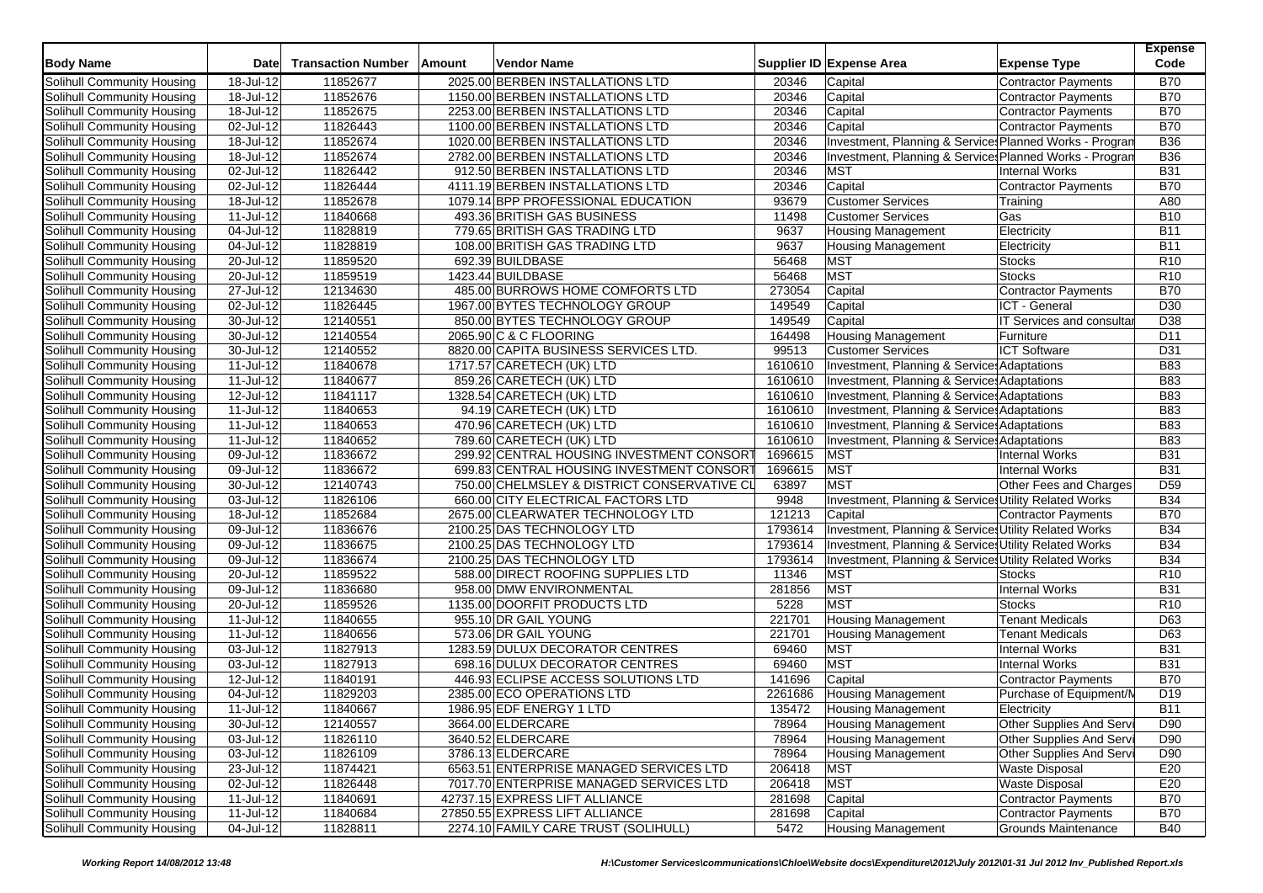| 2025.00 BERBEN INSTALLATIONS LTD<br>18-Jul-12<br>11852677<br><b>B70</b><br>20346<br>Capital<br><b>Contractor Payments</b><br><b>B70</b><br>18-Jul-12<br>11852676<br>1150.00 BERBEN INSTALLATIONS LTD<br>20346<br>Capital<br><b>Contractor Payments</b><br>11852675<br>20346<br>Capital<br><b>B70</b><br>18-Jul-12<br>2253.00 BERBEN INSTALLATIONS LTD<br><b>Contractor Payments</b><br><b>B70</b><br>02-Jul-12<br>11826443<br>1100.00 BERBEN INSTALLATIONS LTD<br>20346<br>Capital<br>Contractor Payments<br><b>B36</b><br>Solihull Community Housing<br>18-Jul-12<br>11852674<br>1020.00 BERBEN INSTALLATIONS LTD<br>20346<br>Investment, Planning & Services Planned Works - Progran<br>11852674<br><b>B36</b><br>18-Jul-12<br>2782.00 BERBEN INSTALLATIONS LTD<br>20346<br>Investment, Planning & Service Planned Works - Progran<br>Solihull Community Housing<br><b>MST</b><br><b>B31</b><br>Solihull Community Housing<br>02-Jul-12<br>11826442<br>912.50 BERBEN INSTALLATIONS LTD<br>20346<br><b>Internal Works</b><br><b>B70</b><br>02-Jul-12<br>11826444<br>4111.19 BERBEN INSTALLATIONS LTD<br>20346<br>Capital<br><b>Contractor Payments</b><br>18-Jul-12<br>11852678<br>1079.14 BPP PROFESSIONAL EDUCATION<br>93679<br><b>Customer Services</b><br>A80<br>Training<br>Solihull Community Housing<br>11-Jul-12<br>11840668<br>493.36 BRITISH GAS BUSINESS<br><b>Customer Services</b><br>Gas<br><b>B10</b><br>11498<br>11828819<br>779.65 BRITISH GAS TRADING LTD<br>9637<br><b>B11</b><br>Solihull Community Housing<br>04-Jul-12<br><b>Housing Management</b><br>Electricity<br>11828819<br><b>B11</b><br>Solihull Community Housing<br>04-Jul-12<br>108.00 BRITISH GAS TRADING LTD<br>9637<br><b>Housing Management</b><br>Electricity<br>11859520<br>R <sub>10</sub><br>Solihull Community Housing<br>20-Jul-12<br>692.39 BUILDBASE<br>56468<br><b>MST</b><br>Stocks<br><b>MST</b><br>Solihull Community Housing<br>20-Jul-12<br>11859519<br>1423.44 BUILDBASE<br>56468<br>R <sub>10</sub><br><b>Stocks</b><br>27-Jul-12<br>12134630<br>485.00 BURROWS HOME COMFORTS LTD<br>273054<br>Capital<br><b>Contractor Payments</b><br><b>B70</b><br>Solihull Community Housing<br>D30<br>Solihull Community Housing<br>02-Jul-12<br>11826445<br>1967.00 BYTES TECHNOLOGY GROUP<br>149549<br>Capital<br>ICT - General<br>Solihull Community Housing<br>30-Jul-12<br>12140551<br>850.00 BYTES TECHNOLOGY GROUP<br>149549<br>Capital<br>IT Services and consultar<br>D38<br>30-Jul-12<br>12140554<br>2065.90 C & C FLOORING<br>D <sub>11</sub><br>Solihull Community Housing<br>164498<br><b>Housing Management</b><br>Furniture<br>99513<br><b>ICT Software</b><br>D31<br>Solihull Community Housing<br>30-Jul-12<br>12140552<br>8820.00 CAPITA BUSINESS SERVICES LTD.<br><b>Customer Services</b><br>11-Jul-12<br>11840678<br>1717.57 CARETECH (UK) LTD<br>1610610<br>Investment, Planning & Services Adaptations<br><b>B83</b><br>Solihull Community Housing<br><b>B83</b><br>11-Jul-12<br>11840677<br>859.26 CARETECH (UK) LTD<br>1610610<br>Investment, Planning & Services Adaptations<br>Solihull Community Housing<br><b>B83</b><br>12-Jul-12<br>11841117<br>1610610<br>Investment, Planning & Services Adaptations<br>Solihull Community Housing<br>1328.54 CARETECH (UK) LTD<br><b>B83</b><br>Solihull Community Housing<br>11-Jul-12<br>11840653<br>94.19 CARETECH (UK) LTD<br>1610610<br>Investment, Planning & Service: Adaptations<br><b>B83</b><br>Solihull Community Housing<br>11-Jul-12<br>11840653<br>470.96 CARETECH (UK) LTD<br>1610610<br>Investment, Planning & Service: Adaptations<br><b>B83</b><br>Solihull Community Housing<br>11-Jul-12<br>11840652<br>789.60 CARETECH (UK) LTD<br>1610610<br>Investment, Planning & Services Adaptations<br>1696615<br><b>MST</b><br><b>B31</b><br>Solihull Community Housing<br>09-Jul-12<br>11836672<br>299.92 CENTRAL HOUSING INVESTMENT CONSORT<br><b>Internal Works</b><br>1696615<br>MST<br><b>B31</b><br>Solihull Community Housing<br>09-Jul-12<br>11836672<br>699.83 CENTRAL HOUSING INVESTMENT CONSORT<br><b>Internal Works</b><br><b>MST</b><br>D <sub>59</sub><br>Solihull Community Housing<br>$\overline{30}$ -Jul-12<br>12140743<br>750.00 CHELMSLEY & DISTRICT CONSERVATIVE CL<br>63897<br>Other Fees and Charges<br>03-Jul-12<br>11826106<br>660.00 CITY ELECTRICAL FACTORS LTD<br>9948<br>Investment, Planning & Services Utility Related Works<br><b>B34</b><br>Solihull Community Housing<br>11852684<br>121213<br><b>B70</b><br>Solihull Community Housing<br>18-Jul-12<br>2675.00 CLEARWATER TECHNOLOGY LTD<br>Capital<br>Contractor Payments<br>1793614<br>Investment, Planning & Services Utility Related Works<br><b>B34</b><br>Solihull Community Housing<br>09-Jul-12<br>11836676<br>2100.25 DAS TECHNOLOGY LTD<br>11836675<br>1793614<br>Investment, Planning & Services Utility Related Works<br><b>B34</b><br>Solihull Community Housing<br>09-Jul-12<br>2100.25 DAS TECHNOLOGY LTD<br>11836674<br>1793614<br><b>B34</b><br>Solihull Community Housing<br>09-Jul-12<br>2100.25 DAS TECHNOLOGY LTD<br>Investment, Planning & Services Utility Related Works<br>R <sub>10</sub><br>$\overline{20}$ -Jul-12<br>11859522<br>588.00 DIRECT ROOFING SUPPLIES LTD<br>11346<br><b>MST</b><br>Solihull Community Housing<br>Stocks<br><b>MST</b><br>Solihull Community Housing<br>09-Jul-12<br>11836680<br>958.00 DMW ENVIRONMENTAL<br>281856<br>Internal Works<br><b>B31</b><br>11859526<br><b>MST</b><br>R10<br>Solihull Community Housing<br>20-Jul-12<br>1135.00 DOORFIT PRODUCTS LTD<br>5228<br><b>Stocks</b><br>Solihull Community Housing<br>11840655<br>955.10 DR GAIL YOUNG<br>221701<br><b>Housing Management</b><br><b>Tenant Medicals</b><br>D63<br>11-Jul-12<br>11840656<br>573.06 DR GAIL YOUNG<br>221701<br><b>Housing Management</b><br>D63<br>Solihull Community Housing<br>11-Jul-12<br><b>Tenant Medicals</b><br>03-Jul-12<br>11827913<br>1283.59 DULUX DECORATOR CENTRES<br>69460<br><b>MST</b><br><b>Internal Works</b><br><b>B31</b><br>Solihull Community Housing<br><b>MST</b><br>11827913<br>69460<br>Internal Works<br><b>B31</b><br>Solihull Community Housing<br>03-Jul-12<br>698.16 DULUX DECORATOR CENTRES<br>12-Jul-12<br>11840191<br>446.93 ECLIPSE ACCESS SOLUTIONS LTD<br>141696<br><b>B70</b><br>Solihull Community Housing<br>Capital<br><b>Contractor Payments</b><br>11829203<br>D <sub>19</sub><br>Solihull Community Housing<br>04-Jul-12<br>2385.00 ECO OPERATIONS LTD<br>2261686<br>Purchase of Equipment/N<br><b>Housing Management</b><br><b>B11</b><br>Solihull Community Housing<br>$11$ -Jul-12<br>11840667<br>1986.95 EDF ENERGY 1 LTD<br>135472<br>Housing Management<br>Electricity<br><b>Housing Management</b><br>Solihull Community Housing<br>30-Jul-12<br>12140557<br>3664.00 ELDERCARE<br>Other Supplies And Servi<br>D90<br>78964<br>Solihull Community Housing<br>03-Jul-12<br>11826110<br>3640.52 ELDERCARE<br>78964<br><b>Housing Management</b><br>Other Supplies And Servi<br>D90<br>Solihull Community Housing<br><b>Housing Management</b><br>Other Supplies And Servi<br>03-Jul-12<br>11826109<br>3786.13 ELDERCARE<br>78964<br>D90<br>11874421<br>E20<br>Solihull Community Housing<br>23-Jul-12<br>6563.51 ENTERPRISE MANAGED SERVICES LTD<br>206418<br><b>MST</b><br><b>Waste Disposal</b><br><b>MST</b><br><b>Waste Disposal</b><br>E20<br>Solihull Community Housing<br>02-Jul-12<br>11826448<br>206418<br>7017.70 ENTERPRISE MANAGED SERVICES LTD<br>Solihull Community Housing<br>11-Jul-12<br>42737.15 EXPRESS LIFT ALLIANCE<br><b>Contractor Payments</b><br><b>B70</b><br>11840691<br>281698<br>Capital<br>Solihull Community Housing<br>$11$ -Jul-12<br>11840684<br>27850.55 EXPRESS LIFT ALLIANCE<br>281698<br>Capital<br><b>B70</b><br>Contractor Payments<br>2274.10 FAMILY CARE TRUST (SOLIHULL) | <b>Body Name</b>           | Date      | <b>Transaction Number</b> | Amount | <b>Vendor Name</b> |      | Supplier ID Expense Area  | <b>Expense Type</b>        | <b>Expense</b><br>Code |
|--------------------------------------------------------------------------------------------------------------------------------------------------------------------------------------------------------------------------------------------------------------------------------------------------------------------------------------------------------------------------------------------------------------------------------------------------------------------------------------------------------------------------------------------------------------------------------------------------------------------------------------------------------------------------------------------------------------------------------------------------------------------------------------------------------------------------------------------------------------------------------------------------------------------------------------------------------------------------------------------------------------------------------------------------------------------------------------------------------------------------------------------------------------------------------------------------------------------------------------------------------------------------------------------------------------------------------------------------------------------------------------------------------------------------------------------------------------------------------------------------------------------------------------------------------------------------------------------------------------------------------------------------------------------------------------------------------------------------------------------------------------------------------------------------------------------------------------------------------------------------------------------------------------------------------------------------------------------------------------------------------------------------------------------------------------------------------------------------------------------------------------------------------------------------------------------------------------------------------------------------------------------------------------------------------------------------------------------------------------------------------------------------------------------------------------------------------------------------------------------------------------------------------------------------------------------------------------------------------------------------------------------------------------------------------------------------------------------------------------------------------------------------------------------------------------------------------------------------------------------------------------------------------------------------------------------------------------------------------------------------------------------------------------------------------------------------------------------------------------------------------------------------------------------------------------------------------------------------------------------------------------------------------------------------------------------------------------------------------------------------------------------------------------------------------------------------------------------------------------------------------------------------------------------------------------------------------------------------------------------------------------------------------------------------------------------------------------------------------------------------------------------------------------------------------------------------------------------------------------------------------------------------------------------------------------------------------------------------------------------------------------------------------------------------------------------------------------------------------------------------------------------------------------------------------------------------------------------------------------------------------------------------------------------------------------------------------------------------------------------------------------------------------------------------------------------------------------------------------------------------------------------------------------------------------------------------------------------------------------------------------------------------------------------------------------------------------------------------------------------------------------------------------------------------------------------------------------------------------------------------------------------------------------------------------------------------------------------------------------------------------------------------------------------------------------------------------------------------------------------------------------------------------------------------------------------------------------------------------------------------------------------------------------------------------------------------------------------------------------------------------------------------------------------------------------------------------------------------------------------------------------------------------------------------------------------------------------------------------------------------------------------------------------------------------------------------------------------------------------------------------------------------------------------------------------------------------------------------------------------------------------------------------------------------------------------------------------------------------------------------------------------------------------------------------------------------------------------------------------------------------------------------------------------------------------------------------------------------------------------------------------------------------------------------------------------------------------------------------------------------------------------------------------------------------------------------------------------------------------------------------------------------------------------------------------------------------------------------------------------------------------------------------------------------------------------------------------------------------------------------------------------------------------------------------------------------------------------------------------------------------------------------------------------------------------------------------------------------------------------------------------------------------------------------------------------------------------------------------------------------------------------------------------------------------------------------------------------------------------------------------------------------------------------------------------------------------------------------------------------------------------------------------------------------------------------------------------------------------------------------------------------------------------------------------------------------------------------------------------------------------------------------------------------------------------------------------------------------------------------------------------------------------------------------------------------------------------------------------------------------|----------------------------|-----------|---------------------------|--------|--------------------|------|---------------------------|----------------------------|------------------------|
|                                                                                                                                                                                                                                                                                                                                                                                                                                                                                                                                                                                                                                                                                                                                                                                                                                                                                                                                                                                                                                                                                                                                                                                                                                                                                                                                                                                                                                                                                                                                                                                                                                                                                                                                                                                                                                                                                                                                                                                                                                                                                                                                                                                                                                                                                                                                                                                                                                                                                                                                                                                                                                                                                                                                                                                                                                                                                                                                                                                                                                                                                                                                                                                                                                                                                                                                                                                                                                                                                                                                                                                                                                                                                                                                                                                                                                                                                                                                                                                                                                                                                                                                                                                                                                                                                                                                                                                                                                                                                                                                                                                                                                                                                                                                                                                                                                                                                                                                                                                                                                                                                                                                                                                                                                                                                                                                                                                                                                                                                                                                                                                                                                                                                                                                                                                                                                                                                                                                                                                                                                                                                                                                                                                                                                                                                                                                                                                                                                                                                                                                                                                                                                                                                                                                                                                                                                                                                                                                                                                                                                                                                                                                                                                                                                                                                                                                                                                                                                                                                                                                                                                                                                                                                                                                                                                                                                                                          | Solihull Community Housing |           |                           |        |                    |      |                           |                            |                        |
|                                                                                                                                                                                                                                                                                                                                                                                                                                                                                                                                                                                                                                                                                                                                                                                                                                                                                                                                                                                                                                                                                                                                                                                                                                                                                                                                                                                                                                                                                                                                                                                                                                                                                                                                                                                                                                                                                                                                                                                                                                                                                                                                                                                                                                                                                                                                                                                                                                                                                                                                                                                                                                                                                                                                                                                                                                                                                                                                                                                                                                                                                                                                                                                                                                                                                                                                                                                                                                                                                                                                                                                                                                                                                                                                                                                                                                                                                                                                                                                                                                                                                                                                                                                                                                                                                                                                                                                                                                                                                                                                                                                                                                                                                                                                                                                                                                                                                                                                                                                                                                                                                                                                                                                                                                                                                                                                                                                                                                                                                                                                                                                                                                                                                                                                                                                                                                                                                                                                                                                                                                                                                                                                                                                                                                                                                                                                                                                                                                                                                                                                                                                                                                                                                                                                                                                                                                                                                                                                                                                                                                                                                                                                                                                                                                                                                                                                                                                                                                                                                                                                                                                                                                                                                                                                                                                                                                                                          | Solihull Community Housing |           |                           |        |                    |      |                           |                            |                        |
|                                                                                                                                                                                                                                                                                                                                                                                                                                                                                                                                                                                                                                                                                                                                                                                                                                                                                                                                                                                                                                                                                                                                                                                                                                                                                                                                                                                                                                                                                                                                                                                                                                                                                                                                                                                                                                                                                                                                                                                                                                                                                                                                                                                                                                                                                                                                                                                                                                                                                                                                                                                                                                                                                                                                                                                                                                                                                                                                                                                                                                                                                                                                                                                                                                                                                                                                                                                                                                                                                                                                                                                                                                                                                                                                                                                                                                                                                                                                                                                                                                                                                                                                                                                                                                                                                                                                                                                                                                                                                                                                                                                                                                                                                                                                                                                                                                                                                                                                                                                                                                                                                                                                                                                                                                                                                                                                                                                                                                                                                                                                                                                                                                                                                                                                                                                                                                                                                                                                                                                                                                                                                                                                                                                                                                                                                                                                                                                                                                                                                                                                                                                                                                                                                                                                                                                                                                                                                                                                                                                                                                                                                                                                                                                                                                                                                                                                                                                                                                                                                                                                                                                                                                                                                                                                                                                                                                                                          | Solihull Community Housing |           |                           |        |                    |      |                           |                            |                        |
|                                                                                                                                                                                                                                                                                                                                                                                                                                                                                                                                                                                                                                                                                                                                                                                                                                                                                                                                                                                                                                                                                                                                                                                                                                                                                                                                                                                                                                                                                                                                                                                                                                                                                                                                                                                                                                                                                                                                                                                                                                                                                                                                                                                                                                                                                                                                                                                                                                                                                                                                                                                                                                                                                                                                                                                                                                                                                                                                                                                                                                                                                                                                                                                                                                                                                                                                                                                                                                                                                                                                                                                                                                                                                                                                                                                                                                                                                                                                                                                                                                                                                                                                                                                                                                                                                                                                                                                                                                                                                                                                                                                                                                                                                                                                                                                                                                                                                                                                                                                                                                                                                                                                                                                                                                                                                                                                                                                                                                                                                                                                                                                                                                                                                                                                                                                                                                                                                                                                                                                                                                                                                                                                                                                                                                                                                                                                                                                                                                                                                                                                                                                                                                                                                                                                                                                                                                                                                                                                                                                                                                                                                                                                                                                                                                                                                                                                                                                                                                                                                                                                                                                                                                                                                                                                                                                                                                                                          | Solihull Community Housing |           |                           |        |                    |      |                           |                            |                        |
|                                                                                                                                                                                                                                                                                                                                                                                                                                                                                                                                                                                                                                                                                                                                                                                                                                                                                                                                                                                                                                                                                                                                                                                                                                                                                                                                                                                                                                                                                                                                                                                                                                                                                                                                                                                                                                                                                                                                                                                                                                                                                                                                                                                                                                                                                                                                                                                                                                                                                                                                                                                                                                                                                                                                                                                                                                                                                                                                                                                                                                                                                                                                                                                                                                                                                                                                                                                                                                                                                                                                                                                                                                                                                                                                                                                                                                                                                                                                                                                                                                                                                                                                                                                                                                                                                                                                                                                                                                                                                                                                                                                                                                                                                                                                                                                                                                                                                                                                                                                                                                                                                                                                                                                                                                                                                                                                                                                                                                                                                                                                                                                                                                                                                                                                                                                                                                                                                                                                                                                                                                                                                                                                                                                                                                                                                                                                                                                                                                                                                                                                                                                                                                                                                                                                                                                                                                                                                                                                                                                                                                                                                                                                                                                                                                                                                                                                                                                                                                                                                                                                                                                                                                                                                                                                                                                                                                                                          |                            |           |                           |        |                    |      |                           |                            |                        |
|                                                                                                                                                                                                                                                                                                                                                                                                                                                                                                                                                                                                                                                                                                                                                                                                                                                                                                                                                                                                                                                                                                                                                                                                                                                                                                                                                                                                                                                                                                                                                                                                                                                                                                                                                                                                                                                                                                                                                                                                                                                                                                                                                                                                                                                                                                                                                                                                                                                                                                                                                                                                                                                                                                                                                                                                                                                                                                                                                                                                                                                                                                                                                                                                                                                                                                                                                                                                                                                                                                                                                                                                                                                                                                                                                                                                                                                                                                                                                                                                                                                                                                                                                                                                                                                                                                                                                                                                                                                                                                                                                                                                                                                                                                                                                                                                                                                                                                                                                                                                                                                                                                                                                                                                                                                                                                                                                                                                                                                                                                                                                                                                                                                                                                                                                                                                                                                                                                                                                                                                                                                                                                                                                                                                                                                                                                                                                                                                                                                                                                                                                                                                                                                                                                                                                                                                                                                                                                                                                                                                                                                                                                                                                                                                                                                                                                                                                                                                                                                                                                                                                                                                                                                                                                                                                                                                                                                                          |                            |           |                           |        |                    |      |                           |                            |                        |
|                                                                                                                                                                                                                                                                                                                                                                                                                                                                                                                                                                                                                                                                                                                                                                                                                                                                                                                                                                                                                                                                                                                                                                                                                                                                                                                                                                                                                                                                                                                                                                                                                                                                                                                                                                                                                                                                                                                                                                                                                                                                                                                                                                                                                                                                                                                                                                                                                                                                                                                                                                                                                                                                                                                                                                                                                                                                                                                                                                                                                                                                                                                                                                                                                                                                                                                                                                                                                                                                                                                                                                                                                                                                                                                                                                                                                                                                                                                                                                                                                                                                                                                                                                                                                                                                                                                                                                                                                                                                                                                                                                                                                                                                                                                                                                                                                                                                                                                                                                                                                                                                                                                                                                                                                                                                                                                                                                                                                                                                                                                                                                                                                                                                                                                                                                                                                                                                                                                                                                                                                                                                                                                                                                                                                                                                                                                                                                                                                                                                                                                                                                                                                                                                                                                                                                                                                                                                                                                                                                                                                                                                                                                                                                                                                                                                                                                                                                                                                                                                                                                                                                                                                                                                                                                                                                                                                                                                          |                            |           |                           |        |                    |      |                           |                            |                        |
|                                                                                                                                                                                                                                                                                                                                                                                                                                                                                                                                                                                                                                                                                                                                                                                                                                                                                                                                                                                                                                                                                                                                                                                                                                                                                                                                                                                                                                                                                                                                                                                                                                                                                                                                                                                                                                                                                                                                                                                                                                                                                                                                                                                                                                                                                                                                                                                                                                                                                                                                                                                                                                                                                                                                                                                                                                                                                                                                                                                                                                                                                                                                                                                                                                                                                                                                                                                                                                                                                                                                                                                                                                                                                                                                                                                                                                                                                                                                                                                                                                                                                                                                                                                                                                                                                                                                                                                                                                                                                                                                                                                                                                                                                                                                                                                                                                                                                                                                                                                                                                                                                                                                                                                                                                                                                                                                                                                                                                                                                                                                                                                                                                                                                                                                                                                                                                                                                                                                                                                                                                                                                                                                                                                                                                                                                                                                                                                                                                                                                                                                                                                                                                                                                                                                                                                                                                                                                                                                                                                                                                                                                                                                                                                                                                                                                                                                                                                                                                                                                                                                                                                                                                                                                                                                                                                                                                                                          | Solihull Community Housing |           |                           |        |                    |      |                           |                            |                        |
|                                                                                                                                                                                                                                                                                                                                                                                                                                                                                                                                                                                                                                                                                                                                                                                                                                                                                                                                                                                                                                                                                                                                                                                                                                                                                                                                                                                                                                                                                                                                                                                                                                                                                                                                                                                                                                                                                                                                                                                                                                                                                                                                                                                                                                                                                                                                                                                                                                                                                                                                                                                                                                                                                                                                                                                                                                                                                                                                                                                                                                                                                                                                                                                                                                                                                                                                                                                                                                                                                                                                                                                                                                                                                                                                                                                                                                                                                                                                                                                                                                                                                                                                                                                                                                                                                                                                                                                                                                                                                                                                                                                                                                                                                                                                                                                                                                                                                                                                                                                                                                                                                                                                                                                                                                                                                                                                                                                                                                                                                                                                                                                                                                                                                                                                                                                                                                                                                                                                                                                                                                                                                                                                                                                                                                                                                                                                                                                                                                                                                                                                                                                                                                                                                                                                                                                                                                                                                                                                                                                                                                                                                                                                                                                                                                                                                                                                                                                                                                                                                                                                                                                                                                                                                                                                                                                                                                                                          | Solihull Community Housing |           |                           |        |                    |      |                           |                            |                        |
|                                                                                                                                                                                                                                                                                                                                                                                                                                                                                                                                                                                                                                                                                                                                                                                                                                                                                                                                                                                                                                                                                                                                                                                                                                                                                                                                                                                                                                                                                                                                                                                                                                                                                                                                                                                                                                                                                                                                                                                                                                                                                                                                                                                                                                                                                                                                                                                                                                                                                                                                                                                                                                                                                                                                                                                                                                                                                                                                                                                                                                                                                                                                                                                                                                                                                                                                                                                                                                                                                                                                                                                                                                                                                                                                                                                                                                                                                                                                                                                                                                                                                                                                                                                                                                                                                                                                                                                                                                                                                                                                                                                                                                                                                                                                                                                                                                                                                                                                                                                                                                                                                                                                                                                                                                                                                                                                                                                                                                                                                                                                                                                                                                                                                                                                                                                                                                                                                                                                                                                                                                                                                                                                                                                                                                                                                                                                                                                                                                                                                                                                                                                                                                                                                                                                                                                                                                                                                                                                                                                                                                                                                                                                                                                                                                                                                                                                                                                                                                                                                                                                                                                                                                                                                                                                                                                                                                                                          |                            |           |                           |        |                    |      |                           |                            |                        |
|                                                                                                                                                                                                                                                                                                                                                                                                                                                                                                                                                                                                                                                                                                                                                                                                                                                                                                                                                                                                                                                                                                                                                                                                                                                                                                                                                                                                                                                                                                                                                                                                                                                                                                                                                                                                                                                                                                                                                                                                                                                                                                                                                                                                                                                                                                                                                                                                                                                                                                                                                                                                                                                                                                                                                                                                                                                                                                                                                                                                                                                                                                                                                                                                                                                                                                                                                                                                                                                                                                                                                                                                                                                                                                                                                                                                                                                                                                                                                                                                                                                                                                                                                                                                                                                                                                                                                                                                                                                                                                                                                                                                                                                                                                                                                                                                                                                                                                                                                                                                                                                                                                                                                                                                                                                                                                                                                                                                                                                                                                                                                                                                                                                                                                                                                                                                                                                                                                                                                                                                                                                                                                                                                                                                                                                                                                                                                                                                                                                                                                                                                                                                                                                                                                                                                                                                                                                                                                                                                                                                                                                                                                                                                                                                                                                                                                                                                                                                                                                                                                                                                                                                                                                                                                                                                                                                                                                                          |                            |           |                           |        |                    |      |                           |                            |                        |
|                                                                                                                                                                                                                                                                                                                                                                                                                                                                                                                                                                                                                                                                                                                                                                                                                                                                                                                                                                                                                                                                                                                                                                                                                                                                                                                                                                                                                                                                                                                                                                                                                                                                                                                                                                                                                                                                                                                                                                                                                                                                                                                                                                                                                                                                                                                                                                                                                                                                                                                                                                                                                                                                                                                                                                                                                                                                                                                                                                                                                                                                                                                                                                                                                                                                                                                                                                                                                                                                                                                                                                                                                                                                                                                                                                                                                                                                                                                                                                                                                                                                                                                                                                                                                                                                                                                                                                                                                                                                                                                                                                                                                                                                                                                                                                                                                                                                                                                                                                                                                                                                                                                                                                                                                                                                                                                                                                                                                                                                                                                                                                                                                                                                                                                                                                                                                                                                                                                                                                                                                                                                                                                                                                                                                                                                                                                                                                                                                                                                                                                                                                                                                                                                                                                                                                                                                                                                                                                                                                                                                                                                                                                                                                                                                                                                                                                                                                                                                                                                                                                                                                                                                                                                                                                                                                                                                                                                          |                            |           |                           |        |                    |      |                           |                            |                        |
|                                                                                                                                                                                                                                                                                                                                                                                                                                                                                                                                                                                                                                                                                                                                                                                                                                                                                                                                                                                                                                                                                                                                                                                                                                                                                                                                                                                                                                                                                                                                                                                                                                                                                                                                                                                                                                                                                                                                                                                                                                                                                                                                                                                                                                                                                                                                                                                                                                                                                                                                                                                                                                                                                                                                                                                                                                                                                                                                                                                                                                                                                                                                                                                                                                                                                                                                                                                                                                                                                                                                                                                                                                                                                                                                                                                                                                                                                                                                                                                                                                                                                                                                                                                                                                                                                                                                                                                                                                                                                                                                                                                                                                                                                                                                                                                                                                                                                                                                                                                                                                                                                                                                                                                                                                                                                                                                                                                                                                                                                                                                                                                                                                                                                                                                                                                                                                                                                                                                                                                                                                                                                                                                                                                                                                                                                                                                                                                                                                                                                                                                                                                                                                                                                                                                                                                                                                                                                                                                                                                                                                                                                                                                                                                                                                                                                                                                                                                                                                                                                                                                                                                                                                                                                                                                                                                                                                                                          |                            |           |                           |        |                    |      |                           |                            |                        |
|                                                                                                                                                                                                                                                                                                                                                                                                                                                                                                                                                                                                                                                                                                                                                                                                                                                                                                                                                                                                                                                                                                                                                                                                                                                                                                                                                                                                                                                                                                                                                                                                                                                                                                                                                                                                                                                                                                                                                                                                                                                                                                                                                                                                                                                                                                                                                                                                                                                                                                                                                                                                                                                                                                                                                                                                                                                                                                                                                                                                                                                                                                                                                                                                                                                                                                                                                                                                                                                                                                                                                                                                                                                                                                                                                                                                                                                                                                                                                                                                                                                                                                                                                                                                                                                                                                                                                                                                                                                                                                                                                                                                                                                                                                                                                                                                                                                                                                                                                                                                                                                                                                                                                                                                                                                                                                                                                                                                                                                                                                                                                                                                                                                                                                                                                                                                                                                                                                                                                                                                                                                                                                                                                                                                                                                                                                                                                                                                                                                                                                                                                                                                                                                                                                                                                                                                                                                                                                                                                                                                                                                                                                                                                                                                                                                                                                                                                                                                                                                                                                                                                                                                                                                                                                                                                                                                                                                                          |                            |           |                           |        |                    |      |                           |                            |                        |
|                                                                                                                                                                                                                                                                                                                                                                                                                                                                                                                                                                                                                                                                                                                                                                                                                                                                                                                                                                                                                                                                                                                                                                                                                                                                                                                                                                                                                                                                                                                                                                                                                                                                                                                                                                                                                                                                                                                                                                                                                                                                                                                                                                                                                                                                                                                                                                                                                                                                                                                                                                                                                                                                                                                                                                                                                                                                                                                                                                                                                                                                                                                                                                                                                                                                                                                                                                                                                                                                                                                                                                                                                                                                                                                                                                                                                                                                                                                                                                                                                                                                                                                                                                                                                                                                                                                                                                                                                                                                                                                                                                                                                                                                                                                                                                                                                                                                                                                                                                                                                                                                                                                                                                                                                                                                                                                                                                                                                                                                                                                                                                                                                                                                                                                                                                                                                                                                                                                                                                                                                                                                                                                                                                                                                                                                                                                                                                                                                                                                                                                                                                                                                                                                                                                                                                                                                                                                                                                                                                                                                                                                                                                                                                                                                                                                                                                                                                                                                                                                                                                                                                                                                                                                                                                                                                                                                                                                          |                            |           |                           |        |                    |      |                           |                            |                        |
|                                                                                                                                                                                                                                                                                                                                                                                                                                                                                                                                                                                                                                                                                                                                                                                                                                                                                                                                                                                                                                                                                                                                                                                                                                                                                                                                                                                                                                                                                                                                                                                                                                                                                                                                                                                                                                                                                                                                                                                                                                                                                                                                                                                                                                                                                                                                                                                                                                                                                                                                                                                                                                                                                                                                                                                                                                                                                                                                                                                                                                                                                                                                                                                                                                                                                                                                                                                                                                                                                                                                                                                                                                                                                                                                                                                                                                                                                                                                                                                                                                                                                                                                                                                                                                                                                                                                                                                                                                                                                                                                                                                                                                                                                                                                                                                                                                                                                                                                                                                                                                                                                                                                                                                                                                                                                                                                                                                                                                                                                                                                                                                                                                                                                                                                                                                                                                                                                                                                                                                                                                                                                                                                                                                                                                                                                                                                                                                                                                                                                                                                                                                                                                                                                                                                                                                                                                                                                                                                                                                                                                                                                                                                                                                                                                                                                                                                                                                                                                                                                                                                                                                                                                                                                                                                                                                                                                                                          |                            |           |                           |        |                    |      |                           |                            |                        |
|                                                                                                                                                                                                                                                                                                                                                                                                                                                                                                                                                                                                                                                                                                                                                                                                                                                                                                                                                                                                                                                                                                                                                                                                                                                                                                                                                                                                                                                                                                                                                                                                                                                                                                                                                                                                                                                                                                                                                                                                                                                                                                                                                                                                                                                                                                                                                                                                                                                                                                                                                                                                                                                                                                                                                                                                                                                                                                                                                                                                                                                                                                                                                                                                                                                                                                                                                                                                                                                                                                                                                                                                                                                                                                                                                                                                                                                                                                                                                                                                                                                                                                                                                                                                                                                                                                                                                                                                                                                                                                                                                                                                                                                                                                                                                                                                                                                                                                                                                                                                                                                                                                                                                                                                                                                                                                                                                                                                                                                                                                                                                                                                                                                                                                                                                                                                                                                                                                                                                                                                                                                                                                                                                                                                                                                                                                                                                                                                                                                                                                                                                                                                                                                                                                                                                                                                                                                                                                                                                                                                                                                                                                                                                                                                                                                                                                                                                                                                                                                                                                                                                                                                                                                                                                                                                                                                                                                                          |                            |           |                           |        |                    |      |                           |                            |                        |
|                                                                                                                                                                                                                                                                                                                                                                                                                                                                                                                                                                                                                                                                                                                                                                                                                                                                                                                                                                                                                                                                                                                                                                                                                                                                                                                                                                                                                                                                                                                                                                                                                                                                                                                                                                                                                                                                                                                                                                                                                                                                                                                                                                                                                                                                                                                                                                                                                                                                                                                                                                                                                                                                                                                                                                                                                                                                                                                                                                                                                                                                                                                                                                                                                                                                                                                                                                                                                                                                                                                                                                                                                                                                                                                                                                                                                                                                                                                                                                                                                                                                                                                                                                                                                                                                                                                                                                                                                                                                                                                                                                                                                                                                                                                                                                                                                                                                                                                                                                                                                                                                                                                                                                                                                                                                                                                                                                                                                                                                                                                                                                                                                                                                                                                                                                                                                                                                                                                                                                                                                                                                                                                                                                                                                                                                                                                                                                                                                                                                                                                                                                                                                                                                                                                                                                                                                                                                                                                                                                                                                                                                                                                                                                                                                                                                                                                                                                                                                                                                                                                                                                                                                                                                                                                                                                                                                                                                          |                            |           |                           |        |                    |      |                           |                            |                        |
|                                                                                                                                                                                                                                                                                                                                                                                                                                                                                                                                                                                                                                                                                                                                                                                                                                                                                                                                                                                                                                                                                                                                                                                                                                                                                                                                                                                                                                                                                                                                                                                                                                                                                                                                                                                                                                                                                                                                                                                                                                                                                                                                                                                                                                                                                                                                                                                                                                                                                                                                                                                                                                                                                                                                                                                                                                                                                                                                                                                                                                                                                                                                                                                                                                                                                                                                                                                                                                                                                                                                                                                                                                                                                                                                                                                                                                                                                                                                                                                                                                                                                                                                                                                                                                                                                                                                                                                                                                                                                                                                                                                                                                                                                                                                                                                                                                                                                                                                                                                                                                                                                                                                                                                                                                                                                                                                                                                                                                                                                                                                                                                                                                                                                                                                                                                                                                                                                                                                                                                                                                                                                                                                                                                                                                                                                                                                                                                                                                                                                                                                                                                                                                                                                                                                                                                                                                                                                                                                                                                                                                                                                                                                                                                                                                                                                                                                                                                                                                                                                                                                                                                                                                                                                                                                                                                                                                                                          |                            |           |                           |        |                    |      |                           |                            |                        |
|                                                                                                                                                                                                                                                                                                                                                                                                                                                                                                                                                                                                                                                                                                                                                                                                                                                                                                                                                                                                                                                                                                                                                                                                                                                                                                                                                                                                                                                                                                                                                                                                                                                                                                                                                                                                                                                                                                                                                                                                                                                                                                                                                                                                                                                                                                                                                                                                                                                                                                                                                                                                                                                                                                                                                                                                                                                                                                                                                                                                                                                                                                                                                                                                                                                                                                                                                                                                                                                                                                                                                                                                                                                                                                                                                                                                                                                                                                                                                                                                                                                                                                                                                                                                                                                                                                                                                                                                                                                                                                                                                                                                                                                                                                                                                                                                                                                                                                                                                                                                                                                                                                                                                                                                                                                                                                                                                                                                                                                                                                                                                                                                                                                                                                                                                                                                                                                                                                                                                                                                                                                                                                                                                                                                                                                                                                                                                                                                                                                                                                                                                                                                                                                                                                                                                                                                                                                                                                                                                                                                                                                                                                                                                                                                                                                                                                                                                                                                                                                                                                                                                                                                                                                                                                                                                                                                                                                                          |                            |           |                           |        |                    |      |                           |                            |                        |
|                                                                                                                                                                                                                                                                                                                                                                                                                                                                                                                                                                                                                                                                                                                                                                                                                                                                                                                                                                                                                                                                                                                                                                                                                                                                                                                                                                                                                                                                                                                                                                                                                                                                                                                                                                                                                                                                                                                                                                                                                                                                                                                                                                                                                                                                                                                                                                                                                                                                                                                                                                                                                                                                                                                                                                                                                                                                                                                                                                                                                                                                                                                                                                                                                                                                                                                                                                                                                                                                                                                                                                                                                                                                                                                                                                                                                                                                                                                                                                                                                                                                                                                                                                                                                                                                                                                                                                                                                                                                                                                                                                                                                                                                                                                                                                                                                                                                                                                                                                                                                                                                                                                                                                                                                                                                                                                                                                                                                                                                                                                                                                                                                                                                                                                                                                                                                                                                                                                                                                                                                                                                                                                                                                                                                                                                                                                                                                                                                                                                                                                                                                                                                                                                                                                                                                                                                                                                                                                                                                                                                                                                                                                                                                                                                                                                                                                                                                                                                                                                                                                                                                                                                                                                                                                                                                                                                                                                          |                            |           |                           |        |                    |      |                           |                            |                        |
|                                                                                                                                                                                                                                                                                                                                                                                                                                                                                                                                                                                                                                                                                                                                                                                                                                                                                                                                                                                                                                                                                                                                                                                                                                                                                                                                                                                                                                                                                                                                                                                                                                                                                                                                                                                                                                                                                                                                                                                                                                                                                                                                                                                                                                                                                                                                                                                                                                                                                                                                                                                                                                                                                                                                                                                                                                                                                                                                                                                                                                                                                                                                                                                                                                                                                                                                                                                                                                                                                                                                                                                                                                                                                                                                                                                                                                                                                                                                                                                                                                                                                                                                                                                                                                                                                                                                                                                                                                                                                                                                                                                                                                                                                                                                                                                                                                                                                                                                                                                                                                                                                                                                                                                                                                                                                                                                                                                                                                                                                                                                                                                                                                                                                                                                                                                                                                                                                                                                                                                                                                                                                                                                                                                                                                                                                                                                                                                                                                                                                                                                                                                                                                                                                                                                                                                                                                                                                                                                                                                                                                                                                                                                                                                                                                                                                                                                                                                                                                                                                                                                                                                                                                                                                                                                                                                                                                                                          |                            |           |                           |        |                    |      |                           |                            |                        |
|                                                                                                                                                                                                                                                                                                                                                                                                                                                                                                                                                                                                                                                                                                                                                                                                                                                                                                                                                                                                                                                                                                                                                                                                                                                                                                                                                                                                                                                                                                                                                                                                                                                                                                                                                                                                                                                                                                                                                                                                                                                                                                                                                                                                                                                                                                                                                                                                                                                                                                                                                                                                                                                                                                                                                                                                                                                                                                                                                                                                                                                                                                                                                                                                                                                                                                                                                                                                                                                                                                                                                                                                                                                                                                                                                                                                                                                                                                                                                                                                                                                                                                                                                                                                                                                                                                                                                                                                                                                                                                                                                                                                                                                                                                                                                                                                                                                                                                                                                                                                                                                                                                                                                                                                                                                                                                                                                                                                                                                                                                                                                                                                                                                                                                                                                                                                                                                                                                                                                                                                                                                                                                                                                                                                                                                                                                                                                                                                                                                                                                                                                                                                                                                                                                                                                                                                                                                                                                                                                                                                                                                                                                                                                                                                                                                                                                                                                                                                                                                                                                                                                                                                                                                                                                                                                                                                                                                                          |                            |           |                           |        |                    |      |                           |                            |                        |
|                                                                                                                                                                                                                                                                                                                                                                                                                                                                                                                                                                                                                                                                                                                                                                                                                                                                                                                                                                                                                                                                                                                                                                                                                                                                                                                                                                                                                                                                                                                                                                                                                                                                                                                                                                                                                                                                                                                                                                                                                                                                                                                                                                                                                                                                                                                                                                                                                                                                                                                                                                                                                                                                                                                                                                                                                                                                                                                                                                                                                                                                                                                                                                                                                                                                                                                                                                                                                                                                                                                                                                                                                                                                                                                                                                                                                                                                                                                                                                                                                                                                                                                                                                                                                                                                                                                                                                                                                                                                                                                                                                                                                                                                                                                                                                                                                                                                                                                                                                                                                                                                                                                                                                                                                                                                                                                                                                                                                                                                                                                                                                                                                                                                                                                                                                                                                                                                                                                                                                                                                                                                                                                                                                                                                                                                                                                                                                                                                                                                                                                                                                                                                                                                                                                                                                                                                                                                                                                                                                                                                                                                                                                                                                                                                                                                                                                                                                                                                                                                                                                                                                                                                                                                                                                                                                                                                                                                          |                            |           |                           |        |                    |      |                           |                            |                        |
|                                                                                                                                                                                                                                                                                                                                                                                                                                                                                                                                                                                                                                                                                                                                                                                                                                                                                                                                                                                                                                                                                                                                                                                                                                                                                                                                                                                                                                                                                                                                                                                                                                                                                                                                                                                                                                                                                                                                                                                                                                                                                                                                                                                                                                                                                                                                                                                                                                                                                                                                                                                                                                                                                                                                                                                                                                                                                                                                                                                                                                                                                                                                                                                                                                                                                                                                                                                                                                                                                                                                                                                                                                                                                                                                                                                                                                                                                                                                                                                                                                                                                                                                                                                                                                                                                                                                                                                                                                                                                                                                                                                                                                                                                                                                                                                                                                                                                                                                                                                                                                                                                                                                                                                                                                                                                                                                                                                                                                                                                                                                                                                                                                                                                                                                                                                                                                                                                                                                                                                                                                                                                                                                                                                                                                                                                                                                                                                                                                                                                                                                                                                                                                                                                                                                                                                                                                                                                                                                                                                                                                                                                                                                                                                                                                                                                                                                                                                                                                                                                                                                                                                                                                                                                                                                                                                                                                                                          |                            |           |                           |        |                    |      |                           |                            |                        |
|                                                                                                                                                                                                                                                                                                                                                                                                                                                                                                                                                                                                                                                                                                                                                                                                                                                                                                                                                                                                                                                                                                                                                                                                                                                                                                                                                                                                                                                                                                                                                                                                                                                                                                                                                                                                                                                                                                                                                                                                                                                                                                                                                                                                                                                                                                                                                                                                                                                                                                                                                                                                                                                                                                                                                                                                                                                                                                                                                                                                                                                                                                                                                                                                                                                                                                                                                                                                                                                                                                                                                                                                                                                                                                                                                                                                                                                                                                                                                                                                                                                                                                                                                                                                                                                                                                                                                                                                                                                                                                                                                                                                                                                                                                                                                                                                                                                                                                                                                                                                                                                                                                                                                                                                                                                                                                                                                                                                                                                                                                                                                                                                                                                                                                                                                                                                                                                                                                                                                                                                                                                                                                                                                                                                                                                                                                                                                                                                                                                                                                                                                                                                                                                                                                                                                                                                                                                                                                                                                                                                                                                                                                                                                                                                                                                                                                                                                                                                                                                                                                                                                                                                                                                                                                                                                                                                                                                                          |                            |           |                           |        |                    |      |                           |                            |                        |
|                                                                                                                                                                                                                                                                                                                                                                                                                                                                                                                                                                                                                                                                                                                                                                                                                                                                                                                                                                                                                                                                                                                                                                                                                                                                                                                                                                                                                                                                                                                                                                                                                                                                                                                                                                                                                                                                                                                                                                                                                                                                                                                                                                                                                                                                                                                                                                                                                                                                                                                                                                                                                                                                                                                                                                                                                                                                                                                                                                                                                                                                                                                                                                                                                                                                                                                                                                                                                                                                                                                                                                                                                                                                                                                                                                                                                                                                                                                                                                                                                                                                                                                                                                                                                                                                                                                                                                                                                                                                                                                                                                                                                                                                                                                                                                                                                                                                                                                                                                                                                                                                                                                                                                                                                                                                                                                                                                                                                                                                                                                                                                                                                                                                                                                                                                                                                                                                                                                                                                                                                                                                                                                                                                                                                                                                                                                                                                                                                                                                                                                                                                                                                                                                                                                                                                                                                                                                                                                                                                                                                                                                                                                                                                                                                                                                                                                                                                                                                                                                                                                                                                                                                                                                                                                                                                                                                                                                          |                            |           |                           |        |                    |      |                           |                            |                        |
|                                                                                                                                                                                                                                                                                                                                                                                                                                                                                                                                                                                                                                                                                                                                                                                                                                                                                                                                                                                                                                                                                                                                                                                                                                                                                                                                                                                                                                                                                                                                                                                                                                                                                                                                                                                                                                                                                                                                                                                                                                                                                                                                                                                                                                                                                                                                                                                                                                                                                                                                                                                                                                                                                                                                                                                                                                                                                                                                                                                                                                                                                                                                                                                                                                                                                                                                                                                                                                                                                                                                                                                                                                                                                                                                                                                                                                                                                                                                                                                                                                                                                                                                                                                                                                                                                                                                                                                                                                                                                                                                                                                                                                                                                                                                                                                                                                                                                                                                                                                                                                                                                                                                                                                                                                                                                                                                                                                                                                                                                                                                                                                                                                                                                                                                                                                                                                                                                                                                                                                                                                                                                                                                                                                                                                                                                                                                                                                                                                                                                                                                                                                                                                                                                                                                                                                                                                                                                                                                                                                                                                                                                                                                                                                                                                                                                                                                                                                                                                                                                                                                                                                                                                                                                                                                                                                                                                                                          |                            |           |                           |        |                    |      |                           |                            |                        |
|                                                                                                                                                                                                                                                                                                                                                                                                                                                                                                                                                                                                                                                                                                                                                                                                                                                                                                                                                                                                                                                                                                                                                                                                                                                                                                                                                                                                                                                                                                                                                                                                                                                                                                                                                                                                                                                                                                                                                                                                                                                                                                                                                                                                                                                                                                                                                                                                                                                                                                                                                                                                                                                                                                                                                                                                                                                                                                                                                                                                                                                                                                                                                                                                                                                                                                                                                                                                                                                                                                                                                                                                                                                                                                                                                                                                                                                                                                                                                                                                                                                                                                                                                                                                                                                                                                                                                                                                                                                                                                                                                                                                                                                                                                                                                                                                                                                                                                                                                                                                                                                                                                                                                                                                                                                                                                                                                                                                                                                                                                                                                                                                                                                                                                                                                                                                                                                                                                                                                                                                                                                                                                                                                                                                                                                                                                                                                                                                                                                                                                                                                                                                                                                                                                                                                                                                                                                                                                                                                                                                                                                                                                                                                                                                                                                                                                                                                                                                                                                                                                                                                                                                                                                                                                                                                                                                                                                                          |                            |           |                           |        |                    |      |                           |                            |                        |
|                                                                                                                                                                                                                                                                                                                                                                                                                                                                                                                                                                                                                                                                                                                                                                                                                                                                                                                                                                                                                                                                                                                                                                                                                                                                                                                                                                                                                                                                                                                                                                                                                                                                                                                                                                                                                                                                                                                                                                                                                                                                                                                                                                                                                                                                                                                                                                                                                                                                                                                                                                                                                                                                                                                                                                                                                                                                                                                                                                                                                                                                                                                                                                                                                                                                                                                                                                                                                                                                                                                                                                                                                                                                                                                                                                                                                                                                                                                                                                                                                                                                                                                                                                                                                                                                                                                                                                                                                                                                                                                                                                                                                                                                                                                                                                                                                                                                                                                                                                                                                                                                                                                                                                                                                                                                                                                                                                                                                                                                                                                                                                                                                                                                                                                                                                                                                                                                                                                                                                                                                                                                                                                                                                                                                                                                                                                                                                                                                                                                                                                                                                                                                                                                                                                                                                                                                                                                                                                                                                                                                                                                                                                                                                                                                                                                                                                                                                                                                                                                                                                                                                                                                                                                                                                                                                                                                                                                          |                            |           |                           |        |                    |      |                           |                            |                        |
|                                                                                                                                                                                                                                                                                                                                                                                                                                                                                                                                                                                                                                                                                                                                                                                                                                                                                                                                                                                                                                                                                                                                                                                                                                                                                                                                                                                                                                                                                                                                                                                                                                                                                                                                                                                                                                                                                                                                                                                                                                                                                                                                                                                                                                                                                                                                                                                                                                                                                                                                                                                                                                                                                                                                                                                                                                                                                                                                                                                                                                                                                                                                                                                                                                                                                                                                                                                                                                                                                                                                                                                                                                                                                                                                                                                                                                                                                                                                                                                                                                                                                                                                                                                                                                                                                                                                                                                                                                                                                                                                                                                                                                                                                                                                                                                                                                                                                                                                                                                                                                                                                                                                                                                                                                                                                                                                                                                                                                                                                                                                                                                                                                                                                                                                                                                                                                                                                                                                                                                                                                                                                                                                                                                                                                                                                                                                                                                                                                                                                                                                                                                                                                                                                                                                                                                                                                                                                                                                                                                                                                                                                                                                                                                                                                                                                                                                                                                                                                                                                                                                                                                                                                                                                                                                                                                                                                                                          |                            |           |                           |        |                    |      |                           |                            |                        |
|                                                                                                                                                                                                                                                                                                                                                                                                                                                                                                                                                                                                                                                                                                                                                                                                                                                                                                                                                                                                                                                                                                                                                                                                                                                                                                                                                                                                                                                                                                                                                                                                                                                                                                                                                                                                                                                                                                                                                                                                                                                                                                                                                                                                                                                                                                                                                                                                                                                                                                                                                                                                                                                                                                                                                                                                                                                                                                                                                                                                                                                                                                                                                                                                                                                                                                                                                                                                                                                                                                                                                                                                                                                                                                                                                                                                                                                                                                                                                                                                                                                                                                                                                                                                                                                                                                                                                                                                                                                                                                                                                                                                                                                                                                                                                                                                                                                                                                                                                                                                                                                                                                                                                                                                                                                                                                                                                                                                                                                                                                                                                                                                                                                                                                                                                                                                                                                                                                                                                                                                                                                                                                                                                                                                                                                                                                                                                                                                                                                                                                                                                                                                                                                                                                                                                                                                                                                                                                                                                                                                                                                                                                                                                                                                                                                                                                                                                                                                                                                                                                                                                                                                                                                                                                                                                                                                                                                                          |                            |           |                           |        |                    |      |                           |                            |                        |
|                                                                                                                                                                                                                                                                                                                                                                                                                                                                                                                                                                                                                                                                                                                                                                                                                                                                                                                                                                                                                                                                                                                                                                                                                                                                                                                                                                                                                                                                                                                                                                                                                                                                                                                                                                                                                                                                                                                                                                                                                                                                                                                                                                                                                                                                                                                                                                                                                                                                                                                                                                                                                                                                                                                                                                                                                                                                                                                                                                                                                                                                                                                                                                                                                                                                                                                                                                                                                                                                                                                                                                                                                                                                                                                                                                                                                                                                                                                                                                                                                                                                                                                                                                                                                                                                                                                                                                                                                                                                                                                                                                                                                                                                                                                                                                                                                                                                                                                                                                                                                                                                                                                                                                                                                                                                                                                                                                                                                                                                                                                                                                                                                                                                                                                                                                                                                                                                                                                                                                                                                                                                                                                                                                                                                                                                                                                                                                                                                                                                                                                                                                                                                                                                                                                                                                                                                                                                                                                                                                                                                                                                                                                                                                                                                                                                                                                                                                                                                                                                                                                                                                                                                                                                                                                                                                                                                                                                          |                            |           |                           |        |                    |      |                           |                            |                        |
|                                                                                                                                                                                                                                                                                                                                                                                                                                                                                                                                                                                                                                                                                                                                                                                                                                                                                                                                                                                                                                                                                                                                                                                                                                                                                                                                                                                                                                                                                                                                                                                                                                                                                                                                                                                                                                                                                                                                                                                                                                                                                                                                                                                                                                                                                                                                                                                                                                                                                                                                                                                                                                                                                                                                                                                                                                                                                                                                                                                                                                                                                                                                                                                                                                                                                                                                                                                                                                                                                                                                                                                                                                                                                                                                                                                                                                                                                                                                                                                                                                                                                                                                                                                                                                                                                                                                                                                                                                                                                                                                                                                                                                                                                                                                                                                                                                                                                                                                                                                                                                                                                                                                                                                                                                                                                                                                                                                                                                                                                                                                                                                                                                                                                                                                                                                                                                                                                                                                                                                                                                                                                                                                                                                                                                                                                                                                                                                                                                                                                                                                                                                                                                                                                                                                                                                                                                                                                                                                                                                                                                                                                                                                                                                                                                                                                                                                                                                                                                                                                                                                                                                                                                                                                                                                                                                                                                                                          |                            |           |                           |        |                    |      |                           |                            |                        |
|                                                                                                                                                                                                                                                                                                                                                                                                                                                                                                                                                                                                                                                                                                                                                                                                                                                                                                                                                                                                                                                                                                                                                                                                                                                                                                                                                                                                                                                                                                                                                                                                                                                                                                                                                                                                                                                                                                                                                                                                                                                                                                                                                                                                                                                                                                                                                                                                                                                                                                                                                                                                                                                                                                                                                                                                                                                                                                                                                                                                                                                                                                                                                                                                                                                                                                                                                                                                                                                                                                                                                                                                                                                                                                                                                                                                                                                                                                                                                                                                                                                                                                                                                                                                                                                                                                                                                                                                                                                                                                                                                                                                                                                                                                                                                                                                                                                                                                                                                                                                                                                                                                                                                                                                                                                                                                                                                                                                                                                                                                                                                                                                                                                                                                                                                                                                                                                                                                                                                                                                                                                                                                                                                                                                                                                                                                                                                                                                                                                                                                                                                                                                                                                                                                                                                                                                                                                                                                                                                                                                                                                                                                                                                                                                                                                                                                                                                                                                                                                                                                                                                                                                                                                                                                                                                                                                                                                                          |                            |           |                           |        |                    |      |                           |                            |                        |
|                                                                                                                                                                                                                                                                                                                                                                                                                                                                                                                                                                                                                                                                                                                                                                                                                                                                                                                                                                                                                                                                                                                                                                                                                                                                                                                                                                                                                                                                                                                                                                                                                                                                                                                                                                                                                                                                                                                                                                                                                                                                                                                                                                                                                                                                                                                                                                                                                                                                                                                                                                                                                                                                                                                                                                                                                                                                                                                                                                                                                                                                                                                                                                                                                                                                                                                                                                                                                                                                                                                                                                                                                                                                                                                                                                                                                                                                                                                                                                                                                                                                                                                                                                                                                                                                                                                                                                                                                                                                                                                                                                                                                                                                                                                                                                                                                                                                                                                                                                                                                                                                                                                                                                                                                                                                                                                                                                                                                                                                                                                                                                                                                                                                                                                                                                                                                                                                                                                                                                                                                                                                                                                                                                                                                                                                                                                                                                                                                                                                                                                                                                                                                                                                                                                                                                                                                                                                                                                                                                                                                                                                                                                                                                                                                                                                                                                                                                                                                                                                                                                                                                                                                                                                                                                                                                                                                                                                          |                            |           |                           |        |                    |      |                           |                            |                        |
|                                                                                                                                                                                                                                                                                                                                                                                                                                                                                                                                                                                                                                                                                                                                                                                                                                                                                                                                                                                                                                                                                                                                                                                                                                                                                                                                                                                                                                                                                                                                                                                                                                                                                                                                                                                                                                                                                                                                                                                                                                                                                                                                                                                                                                                                                                                                                                                                                                                                                                                                                                                                                                                                                                                                                                                                                                                                                                                                                                                                                                                                                                                                                                                                                                                                                                                                                                                                                                                                                                                                                                                                                                                                                                                                                                                                                                                                                                                                                                                                                                                                                                                                                                                                                                                                                                                                                                                                                                                                                                                                                                                                                                                                                                                                                                                                                                                                                                                                                                                                                                                                                                                                                                                                                                                                                                                                                                                                                                                                                                                                                                                                                                                                                                                                                                                                                                                                                                                                                                                                                                                                                                                                                                                                                                                                                                                                                                                                                                                                                                                                                                                                                                                                                                                                                                                                                                                                                                                                                                                                                                                                                                                                                                                                                                                                                                                                                                                                                                                                                                                                                                                                                                                                                                                                                                                                                                                                          |                            |           |                           |        |                    |      |                           |                            |                        |
|                                                                                                                                                                                                                                                                                                                                                                                                                                                                                                                                                                                                                                                                                                                                                                                                                                                                                                                                                                                                                                                                                                                                                                                                                                                                                                                                                                                                                                                                                                                                                                                                                                                                                                                                                                                                                                                                                                                                                                                                                                                                                                                                                                                                                                                                                                                                                                                                                                                                                                                                                                                                                                                                                                                                                                                                                                                                                                                                                                                                                                                                                                                                                                                                                                                                                                                                                                                                                                                                                                                                                                                                                                                                                                                                                                                                                                                                                                                                                                                                                                                                                                                                                                                                                                                                                                                                                                                                                                                                                                                                                                                                                                                                                                                                                                                                                                                                                                                                                                                                                                                                                                                                                                                                                                                                                                                                                                                                                                                                                                                                                                                                                                                                                                                                                                                                                                                                                                                                                                                                                                                                                                                                                                                                                                                                                                                                                                                                                                                                                                                                                                                                                                                                                                                                                                                                                                                                                                                                                                                                                                                                                                                                                                                                                                                                                                                                                                                                                                                                                                                                                                                                                                                                                                                                                                                                                                                                          |                            |           |                           |        |                    |      |                           |                            |                        |
|                                                                                                                                                                                                                                                                                                                                                                                                                                                                                                                                                                                                                                                                                                                                                                                                                                                                                                                                                                                                                                                                                                                                                                                                                                                                                                                                                                                                                                                                                                                                                                                                                                                                                                                                                                                                                                                                                                                                                                                                                                                                                                                                                                                                                                                                                                                                                                                                                                                                                                                                                                                                                                                                                                                                                                                                                                                                                                                                                                                                                                                                                                                                                                                                                                                                                                                                                                                                                                                                                                                                                                                                                                                                                                                                                                                                                                                                                                                                                                                                                                                                                                                                                                                                                                                                                                                                                                                                                                                                                                                                                                                                                                                                                                                                                                                                                                                                                                                                                                                                                                                                                                                                                                                                                                                                                                                                                                                                                                                                                                                                                                                                                                                                                                                                                                                                                                                                                                                                                                                                                                                                                                                                                                                                                                                                                                                                                                                                                                                                                                                                                                                                                                                                                                                                                                                                                                                                                                                                                                                                                                                                                                                                                                                                                                                                                                                                                                                                                                                                                                                                                                                                                                                                                                                                                                                                                                                                          |                            |           |                           |        |                    |      |                           |                            |                        |
|                                                                                                                                                                                                                                                                                                                                                                                                                                                                                                                                                                                                                                                                                                                                                                                                                                                                                                                                                                                                                                                                                                                                                                                                                                                                                                                                                                                                                                                                                                                                                                                                                                                                                                                                                                                                                                                                                                                                                                                                                                                                                                                                                                                                                                                                                                                                                                                                                                                                                                                                                                                                                                                                                                                                                                                                                                                                                                                                                                                                                                                                                                                                                                                                                                                                                                                                                                                                                                                                                                                                                                                                                                                                                                                                                                                                                                                                                                                                                                                                                                                                                                                                                                                                                                                                                                                                                                                                                                                                                                                                                                                                                                                                                                                                                                                                                                                                                                                                                                                                                                                                                                                                                                                                                                                                                                                                                                                                                                                                                                                                                                                                                                                                                                                                                                                                                                                                                                                                                                                                                                                                                                                                                                                                                                                                                                                                                                                                                                                                                                                                                                                                                                                                                                                                                                                                                                                                                                                                                                                                                                                                                                                                                                                                                                                                                                                                                                                                                                                                                                                                                                                                                                                                                                                                                                                                                                                                          |                            |           |                           |        |                    |      |                           |                            |                        |
|                                                                                                                                                                                                                                                                                                                                                                                                                                                                                                                                                                                                                                                                                                                                                                                                                                                                                                                                                                                                                                                                                                                                                                                                                                                                                                                                                                                                                                                                                                                                                                                                                                                                                                                                                                                                                                                                                                                                                                                                                                                                                                                                                                                                                                                                                                                                                                                                                                                                                                                                                                                                                                                                                                                                                                                                                                                                                                                                                                                                                                                                                                                                                                                                                                                                                                                                                                                                                                                                                                                                                                                                                                                                                                                                                                                                                                                                                                                                                                                                                                                                                                                                                                                                                                                                                                                                                                                                                                                                                                                                                                                                                                                                                                                                                                                                                                                                                                                                                                                                                                                                                                                                                                                                                                                                                                                                                                                                                                                                                                                                                                                                                                                                                                                                                                                                                                                                                                                                                                                                                                                                                                                                                                                                                                                                                                                                                                                                                                                                                                                                                                                                                                                                                                                                                                                                                                                                                                                                                                                                                                                                                                                                                                                                                                                                                                                                                                                                                                                                                                                                                                                                                                                                                                                                                                                                                                                                          |                            |           |                           |        |                    |      |                           |                            |                        |
|                                                                                                                                                                                                                                                                                                                                                                                                                                                                                                                                                                                                                                                                                                                                                                                                                                                                                                                                                                                                                                                                                                                                                                                                                                                                                                                                                                                                                                                                                                                                                                                                                                                                                                                                                                                                                                                                                                                                                                                                                                                                                                                                                                                                                                                                                                                                                                                                                                                                                                                                                                                                                                                                                                                                                                                                                                                                                                                                                                                                                                                                                                                                                                                                                                                                                                                                                                                                                                                                                                                                                                                                                                                                                                                                                                                                                                                                                                                                                                                                                                                                                                                                                                                                                                                                                                                                                                                                                                                                                                                                                                                                                                                                                                                                                                                                                                                                                                                                                                                                                                                                                                                                                                                                                                                                                                                                                                                                                                                                                                                                                                                                                                                                                                                                                                                                                                                                                                                                                                                                                                                                                                                                                                                                                                                                                                                                                                                                                                                                                                                                                                                                                                                                                                                                                                                                                                                                                                                                                                                                                                                                                                                                                                                                                                                                                                                                                                                                                                                                                                                                                                                                                                                                                                                                                                                                                                                                          |                            |           |                           |        |                    |      |                           |                            |                        |
|                                                                                                                                                                                                                                                                                                                                                                                                                                                                                                                                                                                                                                                                                                                                                                                                                                                                                                                                                                                                                                                                                                                                                                                                                                                                                                                                                                                                                                                                                                                                                                                                                                                                                                                                                                                                                                                                                                                                                                                                                                                                                                                                                                                                                                                                                                                                                                                                                                                                                                                                                                                                                                                                                                                                                                                                                                                                                                                                                                                                                                                                                                                                                                                                                                                                                                                                                                                                                                                                                                                                                                                                                                                                                                                                                                                                                                                                                                                                                                                                                                                                                                                                                                                                                                                                                                                                                                                                                                                                                                                                                                                                                                                                                                                                                                                                                                                                                                                                                                                                                                                                                                                                                                                                                                                                                                                                                                                                                                                                                                                                                                                                                                                                                                                                                                                                                                                                                                                                                                                                                                                                                                                                                                                                                                                                                                                                                                                                                                                                                                                                                                                                                                                                                                                                                                                                                                                                                                                                                                                                                                                                                                                                                                                                                                                                                                                                                                                                                                                                                                                                                                                                                                                                                                                                                                                                                                                                          |                            |           |                           |        |                    |      |                           |                            |                        |
|                                                                                                                                                                                                                                                                                                                                                                                                                                                                                                                                                                                                                                                                                                                                                                                                                                                                                                                                                                                                                                                                                                                                                                                                                                                                                                                                                                                                                                                                                                                                                                                                                                                                                                                                                                                                                                                                                                                                                                                                                                                                                                                                                                                                                                                                                                                                                                                                                                                                                                                                                                                                                                                                                                                                                                                                                                                                                                                                                                                                                                                                                                                                                                                                                                                                                                                                                                                                                                                                                                                                                                                                                                                                                                                                                                                                                                                                                                                                                                                                                                                                                                                                                                                                                                                                                                                                                                                                                                                                                                                                                                                                                                                                                                                                                                                                                                                                                                                                                                                                                                                                                                                                                                                                                                                                                                                                                                                                                                                                                                                                                                                                                                                                                                                                                                                                                                                                                                                                                                                                                                                                                                                                                                                                                                                                                                                                                                                                                                                                                                                                                                                                                                                                                                                                                                                                                                                                                                                                                                                                                                                                                                                                                                                                                                                                                                                                                                                                                                                                                                                                                                                                                                                                                                                                                                                                                                                                          |                            |           |                           |        |                    |      |                           |                            |                        |
|                                                                                                                                                                                                                                                                                                                                                                                                                                                                                                                                                                                                                                                                                                                                                                                                                                                                                                                                                                                                                                                                                                                                                                                                                                                                                                                                                                                                                                                                                                                                                                                                                                                                                                                                                                                                                                                                                                                                                                                                                                                                                                                                                                                                                                                                                                                                                                                                                                                                                                                                                                                                                                                                                                                                                                                                                                                                                                                                                                                                                                                                                                                                                                                                                                                                                                                                                                                                                                                                                                                                                                                                                                                                                                                                                                                                                                                                                                                                                                                                                                                                                                                                                                                                                                                                                                                                                                                                                                                                                                                                                                                                                                                                                                                                                                                                                                                                                                                                                                                                                                                                                                                                                                                                                                                                                                                                                                                                                                                                                                                                                                                                                                                                                                                                                                                                                                                                                                                                                                                                                                                                                                                                                                                                                                                                                                                                                                                                                                                                                                                                                                                                                                                                                                                                                                                                                                                                                                                                                                                                                                                                                                                                                                                                                                                                                                                                                                                                                                                                                                                                                                                                                                                                                                                                                                                                                                                                          |                            |           |                           |        |                    |      |                           |                            |                        |
|                                                                                                                                                                                                                                                                                                                                                                                                                                                                                                                                                                                                                                                                                                                                                                                                                                                                                                                                                                                                                                                                                                                                                                                                                                                                                                                                                                                                                                                                                                                                                                                                                                                                                                                                                                                                                                                                                                                                                                                                                                                                                                                                                                                                                                                                                                                                                                                                                                                                                                                                                                                                                                                                                                                                                                                                                                                                                                                                                                                                                                                                                                                                                                                                                                                                                                                                                                                                                                                                                                                                                                                                                                                                                                                                                                                                                                                                                                                                                                                                                                                                                                                                                                                                                                                                                                                                                                                                                                                                                                                                                                                                                                                                                                                                                                                                                                                                                                                                                                                                                                                                                                                                                                                                                                                                                                                                                                                                                                                                                                                                                                                                                                                                                                                                                                                                                                                                                                                                                                                                                                                                                                                                                                                                                                                                                                                                                                                                                                                                                                                                                                                                                                                                                                                                                                                                                                                                                                                                                                                                                                                                                                                                                                                                                                                                                                                                                                                                                                                                                                                                                                                                                                                                                                                                                                                                                                                                          |                            |           |                           |        |                    |      |                           |                            |                        |
|                                                                                                                                                                                                                                                                                                                                                                                                                                                                                                                                                                                                                                                                                                                                                                                                                                                                                                                                                                                                                                                                                                                                                                                                                                                                                                                                                                                                                                                                                                                                                                                                                                                                                                                                                                                                                                                                                                                                                                                                                                                                                                                                                                                                                                                                                                                                                                                                                                                                                                                                                                                                                                                                                                                                                                                                                                                                                                                                                                                                                                                                                                                                                                                                                                                                                                                                                                                                                                                                                                                                                                                                                                                                                                                                                                                                                                                                                                                                                                                                                                                                                                                                                                                                                                                                                                                                                                                                                                                                                                                                                                                                                                                                                                                                                                                                                                                                                                                                                                                                                                                                                                                                                                                                                                                                                                                                                                                                                                                                                                                                                                                                                                                                                                                                                                                                                                                                                                                                                                                                                                                                                                                                                                                                                                                                                                                                                                                                                                                                                                                                                                                                                                                                                                                                                                                                                                                                                                                                                                                                                                                                                                                                                                                                                                                                                                                                                                                                                                                                                                                                                                                                                                                                                                                                                                                                                                                                          |                            |           |                           |        |                    |      |                           |                            |                        |
|                                                                                                                                                                                                                                                                                                                                                                                                                                                                                                                                                                                                                                                                                                                                                                                                                                                                                                                                                                                                                                                                                                                                                                                                                                                                                                                                                                                                                                                                                                                                                                                                                                                                                                                                                                                                                                                                                                                                                                                                                                                                                                                                                                                                                                                                                                                                                                                                                                                                                                                                                                                                                                                                                                                                                                                                                                                                                                                                                                                                                                                                                                                                                                                                                                                                                                                                                                                                                                                                                                                                                                                                                                                                                                                                                                                                                                                                                                                                                                                                                                                                                                                                                                                                                                                                                                                                                                                                                                                                                                                                                                                                                                                                                                                                                                                                                                                                                                                                                                                                                                                                                                                                                                                                                                                                                                                                                                                                                                                                                                                                                                                                                                                                                                                                                                                                                                                                                                                                                                                                                                                                                                                                                                                                                                                                                                                                                                                                                                                                                                                                                                                                                                                                                                                                                                                                                                                                                                                                                                                                                                                                                                                                                                                                                                                                                                                                                                                                                                                                                                                                                                                                                                                                                                                                                                                                                                                                          |                            |           |                           |        |                    |      |                           |                            |                        |
|                                                                                                                                                                                                                                                                                                                                                                                                                                                                                                                                                                                                                                                                                                                                                                                                                                                                                                                                                                                                                                                                                                                                                                                                                                                                                                                                                                                                                                                                                                                                                                                                                                                                                                                                                                                                                                                                                                                                                                                                                                                                                                                                                                                                                                                                                                                                                                                                                                                                                                                                                                                                                                                                                                                                                                                                                                                                                                                                                                                                                                                                                                                                                                                                                                                                                                                                                                                                                                                                                                                                                                                                                                                                                                                                                                                                                                                                                                                                                                                                                                                                                                                                                                                                                                                                                                                                                                                                                                                                                                                                                                                                                                                                                                                                                                                                                                                                                                                                                                                                                                                                                                                                                                                                                                                                                                                                                                                                                                                                                                                                                                                                                                                                                                                                                                                                                                                                                                                                                                                                                                                                                                                                                                                                                                                                                                                                                                                                                                                                                                                                                                                                                                                                                                                                                                                                                                                                                                                                                                                                                                                                                                                                                                                                                                                                                                                                                                                                                                                                                                                                                                                                                                                                                                                                                                                                                                                                          |                            |           |                           |        |                    |      |                           |                            |                        |
|                                                                                                                                                                                                                                                                                                                                                                                                                                                                                                                                                                                                                                                                                                                                                                                                                                                                                                                                                                                                                                                                                                                                                                                                                                                                                                                                                                                                                                                                                                                                                                                                                                                                                                                                                                                                                                                                                                                                                                                                                                                                                                                                                                                                                                                                                                                                                                                                                                                                                                                                                                                                                                                                                                                                                                                                                                                                                                                                                                                                                                                                                                                                                                                                                                                                                                                                                                                                                                                                                                                                                                                                                                                                                                                                                                                                                                                                                                                                                                                                                                                                                                                                                                                                                                                                                                                                                                                                                                                                                                                                                                                                                                                                                                                                                                                                                                                                                                                                                                                                                                                                                                                                                                                                                                                                                                                                                                                                                                                                                                                                                                                                                                                                                                                                                                                                                                                                                                                                                                                                                                                                                                                                                                                                                                                                                                                                                                                                                                                                                                                                                                                                                                                                                                                                                                                                                                                                                                                                                                                                                                                                                                                                                                                                                                                                                                                                                                                                                                                                                                                                                                                                                                                                                                                                                                                                                                                                          |                            |           |                           |        |                    |      |                           |                            |                        |
|                                                                                                                                                                                                                                                                                                                                                                                                                                                                                                                                                                                                                                                                                                                                                                                                                                                                                                                                                                                                                                                                                                                                                                                                                                                                                                                                                                                                                                                                                                                                                                                                                                                                                                                                                                                                                                                                                                                                                                                                                                                                                                                                                                                                                                                                                                                                                                                                                                                                                                                                                                                                                                                                                                                                                                                                                                                                                                                                                                                                                                                                                                                                                                                                                                                                                                                                                                                                                                                                                                                                                                                                                                                                                                                                                                                                                                                                                                                                                                                                                                                                                                                                                                                                                                                                                                                                                                                                                                                                                                                                                                                                                                                                                                                                                                                                                                                                                                                                                                                                                                                                                                                                                                                                                                                                                                                                                                                                                                                                                                                                                                                                                                                                                                                                                                                                                                                                                                                                                                                                                                                                                                                                                                                                                                                                                                                                                                                                                                                                                                                                                                                                                                                                                                                                                                                                                                                                                                                                                                                                                                                                                                                                                                                                                                                                                                                                                                                                                                                                                                                                                                                                                                                                                                                                                                                                                                                                          | Solihull Community Housing | 04-Jul-12 | 11828811                  |        |                    | 5472 | <b>Housing Management</b> | <b>Grounds Maintenance</b> | <b>B40</b>             |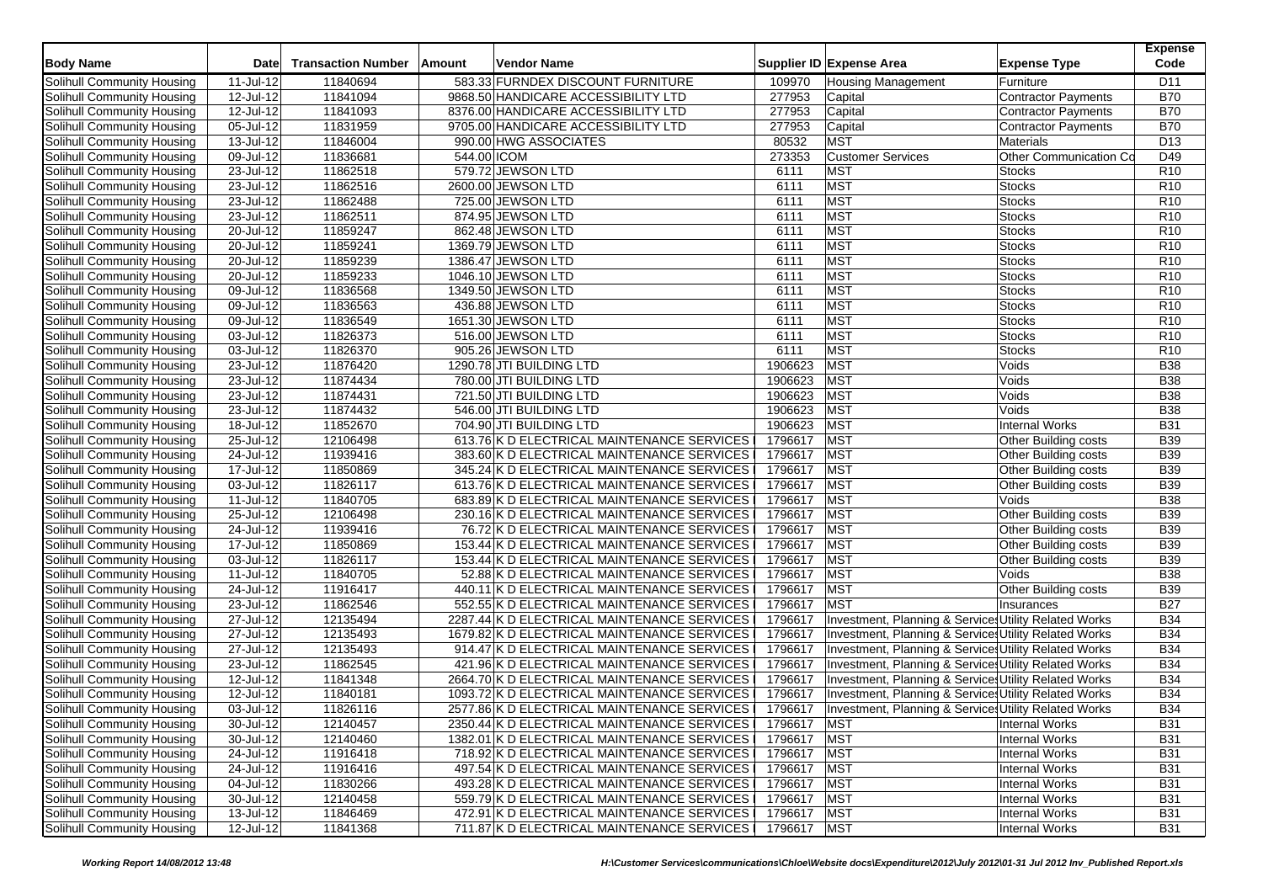| <b>Body Name</b>           | Datel         | <b>Transaction Number</b> | Amount      | Vendor Name                                  |               | <b>Expense Type</b><br>Supplier ID Expense Area       | <b>Expense</b><br>Code |
|----------------------------|---------------|---------------------------|-------------|----------------------------------------------|---------------|-------------------------------------------------------|------------------------|
| Solihull Community Housing | 11-Jul-12     | 11840694                  |             | 583.33 FURNDEX DISCOUNT FURNITURE            | 109970        | <b>Housing Management</b><br>Furniture                | D11                    |
| Solihull Community Housing | 12-Jul-12     | 11841094                  |             | 9868.50 HANDICARE ACCESSIBILITY LTD          | 277953        | <b>Contractor Payments</b><br>Capital                 | <b>B70</b>             |
| Solihull Community Housing | 12-Jul-12     | 11841093                  |             | 8376.00 HANDICARE ACCESSIBILITY LTD          | 277953        | Capital<br><b>Contractor Payments</b>                 | <b>B70</b>             |
| Solihull Community Housing | 05-Jul-12     | 11831959                  |             | 9705.00 HANDICARE ACCESSIBILITY LTD          | 277953        | Capital<br><b>Contractor Payments</b>                 | <b>B70</b>             |
| Solihull Community Housing | 13-Jul-12     | 11846004                  |             | 990.00 HWG ASSOCIATES                        | 80532         | <b>MST</b><br>Materials                               | D <sub>13</sub>        |
| Solihull Community Housing | 09-Jul-12     | 11836681                  | 544.00 ICOM |                                              | 273353        | Other Communication Co<br><b>Customer Services</b>    | D49                    |
| Solihull Community Housing | 23-Jul-12     | 11862518                  |             | 579.72 JEWSON LTD                            | 6111          | MST<br><b>Stocks</b>                                  | R <sub>10</sub>        |
| Solihull Community Housing | 23-Jul-12     | 11862516                  |             | 2600.00 JEWSON LTD                           | 6111          | <b>MST</b><br><b>Stocks</b>                           | R <sub>10</sub>        |
| Solihull Community Housing | 23-Jul-12     | 11862488                  |             | 725.00 JEWSON LTD                            | 6111          | <b>MST</b><br><b>Stocks</b>                           | R <sub>10</sub>        |
| Solihull Community Housing | 23-Jul-12     | 11862511                  |             | 874.95 JEWSON LTD                            | 6111          | MST<br><b>Stocks</b>                                  | R <sub>10</sub>        |
| Solihull Community Housing | 20-Jul-12     | 11859247                  |             | 862.48 JEWSON LTD                            | 6111          | <b>MST</b><br><b>Stocks</b>                           | R <sub>10</sub>        |
| Solihull Community Housing | 20-Jul-12     | 11859241                  |             | 1369.79 JEWSON LTD                           | 6111          | MST<br><b>Stocks</b>                                  | R <sub>10</sub>        |
| Solihull Community Housing | 20-Jul-12     | 11859239                  |             | 1386.47 JEWSON LTD                           | 6111          | <b>MST</b><br><b>Stocks</b>                           | R <sub>10</sub>        |
| Solihull Community Housing | 20-Jul-12     | 11859233                  |             | 1046.10 JEWSON LTD                           | 6111          | <b>MST</b><br><b>Stocks</b>                           | R <sub>10</sub>        |
| Solihull Community Housing | 09-Jul-12     | 11836568                  |             | 1349.50 JEWSON LTD                           | 6111          | <b>MST</b><br><b>Stocks</b>                           | R <sub>10</sub>        |
| Solihull Community Housing | 09-Jul-12     | 11836563                  |             | 436.88 JEWSON LTD                            | 6111          | <b>MST</b><br><b>Stocks</b>                           | R <sub>10</sub>        |
| Solihull Community Housing | 09-Jul-12     | 11836549                  |             | 1651.30 JEWSON LTD                           | 6111          | <b>MST</b><br><b>Stocks</b>                           | R <sub>10</sub>        |
| Solihull Community Housing | 03-Jul-12     | 11826373                  |             | 516.00 JEWSON LTD                            | 6111          | <b>MST</b><br><b>Stocks</b>                           | R <sub>10</sub>        |
| Solihull Community Housing | 03-Jul-12     | 11826370                  |             | 905.26 JEWSON LTD                            | 6111          | MST<br><b>Stocks</b>                                  | R <sub>10</sub>        |
| Solihull Community Housing | 23-Jul-12     | 11876420                  |             | 1290.78 JTI BUILDING LTD                     | 1906623       | <b>MST</b><br>Voids                                   | <b>B38</b>             |
| Solihull Community Housing | $23 -$ Jul-12 | 11874434                  |             | 780.00 JTI BUILDING LTD                      | 1906623       | <b>MST</b><br>Voids                                   | <b>B38</b>             |
| Solihull Community Housing | 23-Jul-12     | 11874431                  |             | 721.50 JTI BUILDING LTD                      | 1906623       | <b>MST</b><br>Voids                                   | <b>B38</b>             |
| Solihull Community Housing | 23-Jul-12     | 11874432                  |             | 546.00 JTI BUILDING LTD                      | 1906623       | <b>MST</b><br>Voids                                   | <b>B38</b>             |
| Solihull Community Housing | 18-Jul-12     | 11852670                  |             | 704.90 JTI BUILDING LTD                      | 1906623       | MST<br><b>Internal Works</b>                          | <b>B31</b>             |
| Solihull Community Housing | 25-Jul-12     | 12106498                  |             | 613.76 K D ELECTRICAL MAINTENANCE SERVICES   | 1796617       | <b>MST</b><br>Other Building costs                    | <b>B39</b>             |
| Solihull Community Housing | 24-Jul-12     | 11939416                  |             | 383.60 K D ELECTRICAL MAINTENANCE SERVICES   | 1796617       | <b>MST</b><br>Other Building costs                    | <b>B39</b>             |
| Solihull Community Housing | 17-Jul-12     | 11850869                  |             | 345.24 K D ELECTRICAL MAINTENANCE SERVICES   | 1796617       | <b>MST</b><br>Other Building costs                    | <b>B39</b>             |
| Solihull Community Housing | 03-Jul-12     | 11826117                  |             | 613.76 K D ELECTRICAL MAINTENANCE SERVICES   | 1796617       | <b>MST</b><br>Other Building costs                    | <b>B39</b>             |
| Solihull Community Housing | 11-Jul-12     | 11840705                  |             | 683.89 K D ELECTRICAL MAINTENANCE SERVICES   | 1796617       | MST<br>Voids                                          | <b>B38</b>             |
| Solihull Community Housing | 25-Jul-12     | 12106498                  |             | 230.16 K D ELECTRICAL MAINTENANCE SERVICES   | 1796617       | <b>MST</b><br>Other Building costs                    | <b>B39</b>             |
| Solihull Community Housing | 24-Jul-12     | 11939416                  |             | 76.72 K D ELECTRICAL MAINTENANCE SERVICES    | 1796617       | <b>MST</b><br>Other Building costs                    | <b>B39</b>             |
| Solihull Community Housing | 17-Jul-12     | 11850869                  |             | 153.44 K D ELECTRICAL MAINTENANCE SERVICES   | 1796617       | <b>MST</b><br>Other Building costs                    | <b>B39</b>             |
| Solihull Community Housing | 03-Jul-12     | 11826117                  |             | 153.44 K D ELECTRICAL MAINTENANCE SERVICES   | 1796617       | <b>MST</b><br>Other Building costs                    | <b>B39</b>             |
| Solihull Community Housing | 11-Jul-12     | 11840705                  |             | 52.88 K D ELECTRICAL MAINTENANCE SERVICES    | 1796617       | MST<br>Voids                                          | <b>B38</b>             |
| Solihull Community Housing | 24-Jul-12     | 11916417                  |             | 440.11 K D ELECTRICAL MAINTENANCE SERVICES   | 1796617       | <b>MST</b><br>Other Building costs                    | <b>B39</b>             |
| Solihull Community Housing | 23-Jul-12     | 11862546                  |             | 552.55 K D ELECTRICAL MAINTENANCE SERVICES   | 1796617       | <b>MST</b><br>Insurances                              | <b>B27</b>             |
| Solihull Community Housing | 27-Jul-12     | 12135494                  |             | 2287.44 K D ELECTRICAL MAINTENANCE SERVICES  | 1796617       | Investment, Planning & Services Utility Related Works | <b>B34</b>             |
| Solihull Community Housing | 27-Jul-12     | 12135493                  |             | 1679.82 K D ELECTRICAL MAINTENANCE SERVICES  | 1796617       | Investment, Planning & Services Utility Related Works | <b>B34</b>             |
| Solihull Community Housing | 27-Jul-12     | 12135493                  |             | 914.47 K D ELECTRICAL MAINTENANCE SERVICES   | 1796617       | Investment, Planning & Services Utility Related Works | <b>B34</b>             |
| Solihull Community Housing | 23-Jul-12     | 11862545                  |             | 421.96 K D ELECTRICAL MAINTENANCE SERVICES   | 1796617       | Investment, Planning & Services Utility Related Works | <b>B34</b>             |
| Solihull Community Housing | 12-Jul-12     | 11841348                  |             | 2664.70 K D ELECTRICAL MAINTENANCE SERVICES  | 1796617       | Investment, Planning & Services Utility Related Works | <b>B34</b>             |
| Solihull Community Housing | 12-Jul-12     | 11840181                  |             | 1093.72 K D ELECTRICAL MAINTENANCE SERVICES  | 1796617       | Investment, Planning & Services Utility Related Works | <b>B34</b>             |
| Solihull Community Housing | 03-Jul-12     | 11826116                  |             | 2577.86 K D ELECTRICAL MAINTENANCE SERVICES  | 1796617       | Investment, Planning & Services Utility Related Works | <b>B34</b>             |
| Solihull Community Housing | 30-Jul-12     | 12140457                  |             | 2350.44 K D ELECTRICAL MAINTENANCE SERVICES  | 1796617   MST | <b>Internal Works</b>                                 | <b>B31</b>             |
| Solihull Community Housing | 30-Jul-12     | 12140460                  |             | 1382.01 K D ELECTRICAL MAINTENANCE SERVICES  | 1796617       | <b>MST</b><br><b>Internal Works</b>                   | <b>B31</b>             |
| Solihull Community Housing | 24-Jul-12     | 11916418                  |             | 718.92 K D ELECTRICAL MAINTENANCE SERVICES   | 1796617       | <b>MST</b><br><b>Internal Works</b>                   | <b>B31</b>             |
| Solihull Community Housing | 24-Jul-12     | 11916416                  |             | 497.54 K D ELECTRICAL MAINTENANCE SERVICES   | 1796617       | <b>MST</b><br>Internal Works                          | <b>B31</b>             |
| Solihull Community Housing | 04-Jul-12     | 11830266                  |             | 493.28 K D ELECTRICAL MAINTENANCE SERVICES I | 1796617       | <b>MST</b><br><b>Internal Works</b>                   | <b>B31</b>             |
| Solihull Community Housing | 30-Jul-12     | 12140458                  |             | 559.79 K D ELECTRICAL MAINTENANCE SERVICES   | 1796617       | <b>MST</b><br><b>Internal Works</b>                   | <b>B31</b>             |
| Solihull Community Housing | 13-Jul-12     | 11846469                  |             | 472.91 K D ELECTRICAL MAINTENANCE SERVICES   | 1796617       | <b>MST</b><br><b>Internal Works</b>                   | <b>B31</b>             |
| Solihull Community Housing | 12-Jul-12     | 11841368                  |             | 711.87 K D ELECTRICAL MAINTENANCE SERVICES I | 1796617 MST   | <b>Internal Works</b>                                 | <b>B31</b>             |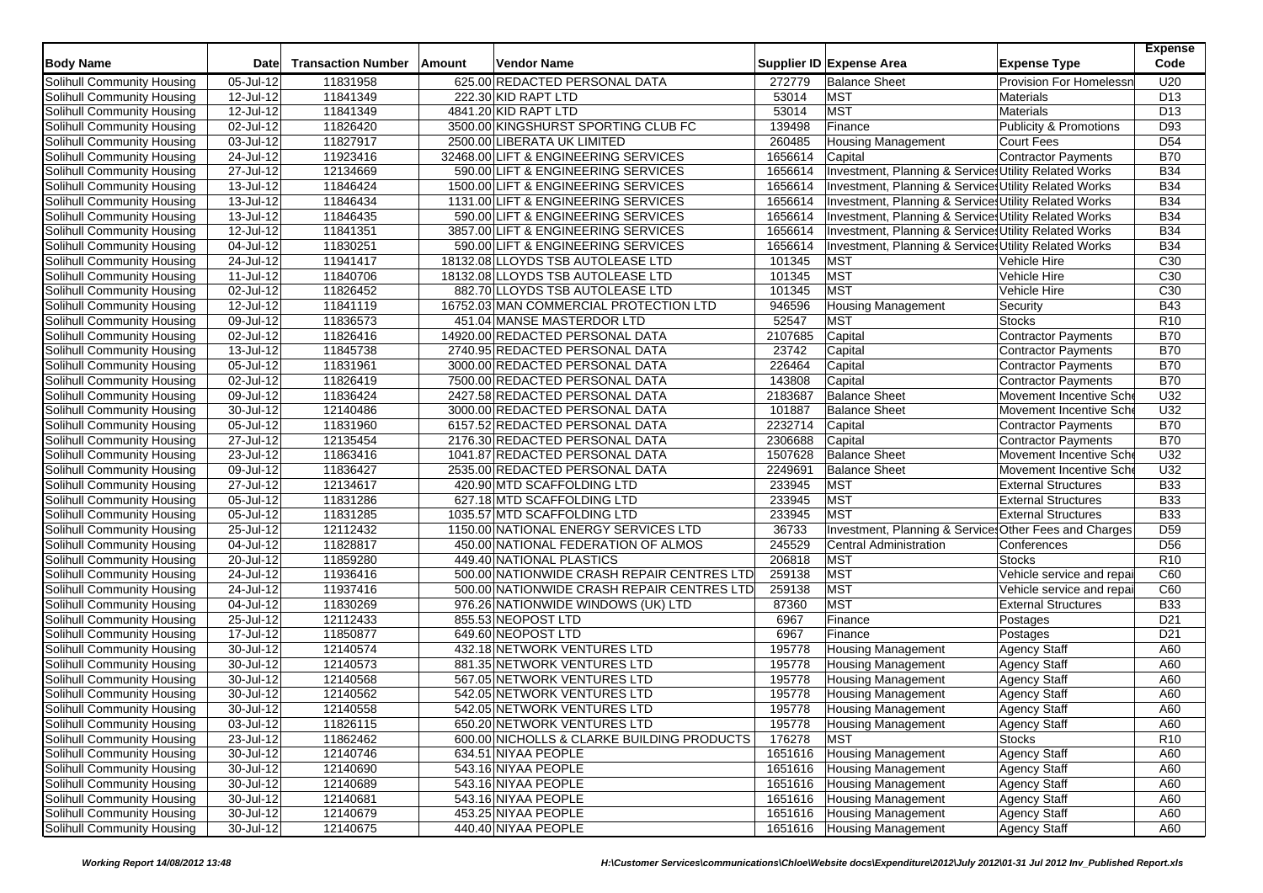| <b>Body Name</b>           | Date                    | <b>Transaction Number</b> | Amount | <b>Vendor Name</b>                         |         | Supplier ID Expense Area                               | <b>Expense Type</b>            | <b>Expense</b><br>Code |
|----------------------------|-------------------------|---------------------------|--------|--------------------------------------------|---------|--------------------------------------------------------|--------------------------------|------------------------|
| Solihull Community Housing | 05-Jul-12               | 11831958                  |        | 625.00 REDACTED PERSONAL DATA              | 272779  | <b>Balance Sheet</b>                                   | <b>Provision For Homelessr</b> | U20                    |
| Solihull Community Housing | 12-Jul-12               | 11841349                  |        | 222.30 KID RAPT LTD                        | 53014   | <b>MST</b>                                             | Materials                      | D <sub>13</sub>        |
| Solihull Community Housing | 12-Jul-12               | 11841349                  |        | 4841.20 KID RAPT LTD                       | 53014   | <b>MST</b>                                             | <b>Materials</b>               | D <sub>13</sub>        |
| Solihull Community Housing | 02-Jul-12               | 11826420                  |        | 3500.00 KINGSHURST SPORTING CLUB FC        | 139498  | Finance                                                | Publicity & Promotions         | D93                    |
| Solihull Community Housing | 03-Jul-12               | 11827917                  |        | 2500.00 LIBERATA UK LIMITED                | 260485  | <b>Housing Management</b>                              | Court Fees                     | D <sub>54</sub>        |
| Solihull Community Housing | 24-Jul-12               | 11923416                  |        | 32468.00 LIFT & ENGINEERING SERVICES       | 1656614 | Capital                                                | Contractor Payments            | <b>B70</b>             |
| Solihull Community Housing | 27-Jul-12               | 12134669                  |        | 590.00 LIFT & ENGINEERING SERVICES         | 1656614 | Investment, Planning & Services Utility Related Works  |                                | <b>B34</b>             |
| Solihull Community Housing | 13-Jul-12               | 11846424                  |        | 1500.00 LIFT & ENGINEERING SERVICES        | 1656614 | Investment, Planning & Services Utility Related Works  |                                | <b>B34</b>             |
| Solihull Community Housing | 13-Jul-12               | 11846434                  |        | 1131.00 LIFT & ENGINEERING SERVICES        | 1656614 | Investment, Planning & Services Utility Related Works  |                                | <b>B34</b>             |
| Solihull Community Housing | 13-Jul-12               | 11846435                  |        | 590.00 LIFT & ENGINEERING SERVICES         | 1656614 | Investment, Planning & Services Utility Related Works  |                                | <b>B34</b>             |
| Solihull Community Housing | $12$ -Jul-12            | 11841351                  |        | 3857.00 LIFT & ENGINEERING SERVICES        | 1656614 | Investment, Planning & Services Utility Related Works  |                                | <b>B34</b>             |
| Solihull Community Housing | 04-Jul-12               | 11830251                  |        | 590.00 LIFT & ENGINEERING SERVICES         | 1656614 | Investment, Planning & Services Utility Related Works  |                                | <b>B34</b>             |
| Solihull Community Housing | 24-Jul-12               | 11941417                  |        | 18132.08 LLOYDS TSB AUTOLEASE LTD          | 101345  | <b>MST</b>                                             | Vehicle Hire                   | C30                    |
| Solihull Community Housing | 11-Jul-12               | 11840706                  |        | 18132.08 LLOYDS TSB AUTOLEASE LTD          | 101345  | <b>MST</b>                                             | Vehicle Hire                   | C30                    |
| Solihull Community Housing | 02-Jul-12               | 11826452                  |        | 882.70 LLOYDS TSB AUTOLEASE LTD            | 101345  | <b>MST</b>                                             | Vehicle Hire                   | C30                    |
| Solihull Community Housing | 12-Jul-12               | 11841119                  |        | 16752.03 MAN COMMERCIAL PROTECTION LTD     | 946596  | <b>Housing Management</b>                              | Security                       | <b>B43</b>             |
| Solihull Community Housing | 09-Jul-12               | 11836573                  |        | 451.04 MANSE MASTERDOR LTD                 | 52547   | <b>MST</b>                                             | <b>Stocks</b>                  | R <sub>10</sub>        |
| Solihull Community Housing | 02-Jul-12               | 11826416                  |        | 14920.00 REDACTED PERSONAL DATA            | 2107685 | Capital                                                | <b>Contractor Payments</b>     | <b>B70</b>             |
| Solihull Community Housing | 13-Jul-12               | 11845738                  |        | 2740.95 REDACTED PERSONAL DATA             | 23742   | Capital                                                | Contractor Payments            | <b>B70</b>             |
| Solihull Community Housing | 05-Jul-12               | 11831961                  |        | 3000.00 REDACTED PERSONAL DATA             | 226464  | Capital                                                | <b>Contractor Payments</b>     | <b>B70</b>             |
| Solihull Community Housing | 02-Jul-12               | 11826419                  |        | 7500.00 REDACTED PERSONAL DATA             | 143808  | Capital                                                | Contractor Payments            | <b>B70</b>             |
| Solihull Community Housing | 09-Jul-12               | 11836424                  |        | 2427.58 REDACTED PERSONAL DATA             | 2183687 | <b>Balance Sheet</b>                                   | Movement Incentive Sche        | U32                    |
| Solihull Community Housing | 30-Jul-12               | 12140486                  |        | 3000.00 REDACTED PERSONAL DATA             | 101887  | <b>Balance Sheet</b>                                   | Movement Incentive Sch         | U32                    |
| Solihull Community Housing | 05-Jul-12               | 11831960                  |        | 6157.52 REDACTED PERSONAL DATA             | 2232714 | Capital                                                | <b>Contractor Payments</b>     | <b>B70</b>             |
| Solihull Community Housing | $\overline{27}$ -Jul-12 | 12135454                  |        | 2176.30 REDACTED PERSONAL DATA             | 2306688 | Capital                                                | Contractor Payments            | <b>B70</b>             |
| Solihull Community Housing | 23-Jul-12               | 11863416                  |        | 1041.87 REDACTED PERSONAL DATA             | 1507628 | <b>Balance Sheet</b>                                   | Movement Incentive Sche        | U32                    |
| Solihull Community Housing | 09-Jul-12               | 11836427                  |        | 2535.00 REDACTED PERSONAL DATA             | 2249691 | <b>Balance Sheet</b>                                   | Movement Incentive Sch         | U32                    |
| Solihull Community Housing | 27-Jul-12               | 12134617                  |        | 420.90 MTD SCAFFOLDING LTD                 | 233945  | <b>MST</b>                                             | <b>External Structures</b>     | <b>B33</b>             |
| Solihull Community Housing | 05-Jul-12               | 11831286                  |        | 627.18 MTD SCAFFOLDING LTD                 | 233945  | <b>MST</b>                                             | <b>External Structures</b>     | <b>B33</b>             |
| Solihull Community Housing | 05-Jul-12               | 11831285                  |        | 1035.57 MTD SCAFFOLDING LTD                | 233945  | <b>MST</b>                                             | <b>External Structures</b>     | <b>B33</b>             |
| Solihull Community Housing | 25-Jul-12               | 12112432                  |        | 1150.00 NATIONAL ENERGY SERVICES LTD       | 36733   | Investment, Planning & Services Other Fees and Charges |                                | D <sub>59</sub>        |
| Solihull Community Housing | 04-Jul-12               | 11828817                  |        | 450.00 NATIONAL FEDERATION OF ALMOS        | 245529  | Central Administration                                 | Conferences                    | D <sub>56</sub>        |
| Solihull Community Housing | 20-Jul-12               | 11859280                  |        | 449.40 NATIONAL PLASTICS                   | 206818  | <b>MST</b>                                             | <b>Stocks</b>                  | R <sub>10</sub>        |
| Solihull Community Housing | 24-Jul-12               | 11936416                  |        | 500.00 NATIONWIDE CRASH REPAIR CENTRES LTD | 259138  | <b>MST</b>                                             | Vehicle service and repa       | C60                    |
| Solihull Community Housing | 24-Jul-12               | 11937416                  |        | 500.00 NATIONWIDE CRASH REPAIR CENTRES LTD | 259138  | <b>MST</b>                                             | Vehicle service and repai      | C60                    |
| Solihull Community Housing | 04-Jul-12               | 11830269                  |        | 976.26 NATIONWIDE WINDOWS (UK) LTD         | 87360   | <b>MST</b>                                             | <b>External Structures</b>     | <b>B33</b>             |
| Solihull Community Housing | 25-Jul-12               | 12112433                  |        | 855.53 NEOPOST LTD                         | 6967    | Finance                                                | Postages                       | D <sub>21</sub>        |
| Solihull Community Housing | 17-Jul-12               | 11850877                  |        | 649.60 NEOPOST LTD                         | 6967    | Finance                                                | Postages                       | D <sub>21</sub>        |
| Solihull Community Housing | 30-Jul-12               | 12140574                  |        | 432.18 NETWORK VENTURES LTD                | 195778  | <b>Housing Management</b>                              | <b>Agency Staff</b>            | A60                    |
| Solihull Community Housing | $\overline{30}$ -Jul-12 | 12140573                  |        | 881.35 NETWORK VENTURES LTD                | 195778  | <b>Housing Management</b>                              | <b>Agency Staff</b>            | A60                    |
| Solihull Community Housing | 30-Jul-12               | 12140568                  |        | 567.05 NETWORK VENTURES LTD                | 195778  | <b>Housing Management</b>                              | <b>Agency Staff</b>            | A60                    |
| Solihull Community Housing | 30-Jul-12               | 12140562                  |        | 542.05 NETWORK VENTURES LTD                | 195778  | <b>Housing Management</b>                              | <b>Agency Staff</b>            | A60                    |
| Solihull Community Housing | 30-Jul-12               | 12140558                  |        | 542.05 NETWORK VENTURES LTD                | 195778  | <b>Housing Management</b>                              | <b>Agency Staff</b>            | A60                    |
| Solihull Community Housing | 03-Jul-12               | 11826115                  |        | 650.20 NETWORK VENTURES LTD                | 195778  | <b>Housing Management</b>                              | <b>Agency Staff</b>            | A60                    |
| Solihull Community Housing | 23-Jul-12               | 11862462                  |        | 600.00 NICHOLLS & CLARKE BUILDING PRODUCTS | 176278  | <b>MST</b>                                             | <b>Stocks</b>                  | R <sub>10</sub>        |
| Solihull Community Housing | 30-Jul-12               | 12140746                  |        | 634.51 NIYAA PEOPLE                        | 1651616 | <b>Housing Management</b>                              | <b>Agency Staff</b>            | A60                    |
| Solihull Community Housing | 30-Jul-12               | 12140690                  |        | 543.16 NIYAA PEOPLE                        | 1651616 | Housing Management                                     | <b>Agency Staff</b>            | A60                    |
| Solihull Community Housing | 30-Jul-12               | 12140689                  |        | 543.16 NIYAA PEOPLE                        | 1651616 | <b>Housing Management</b>                              | <b>Agency Staff</b>            | A60                    |
| Solihull Community Housing | 30-Jul-12               | 12140681                  |        | 543.16 NIYAA PEOPLE                        | 1651616 | <b>Housing Management</b>                              | <b>Agency Staff</b>            | A60                    |
| Solihull Community Housing | 30-Jul-12               | 12140679                  |        | 453.25 NIYAA PEOPLE                        | 1651616 | <b>Housing Management</b>                              | <b>Agency Staff</b>            | A60                    |
| Solihull Community Housing | $30 -$ Jul-12           | 12140675                  |        | 440.40 NIYAA PEOPLE                        |         | 1651616 Housing Management                             | <b>Agency Staff</b>            | A60                    |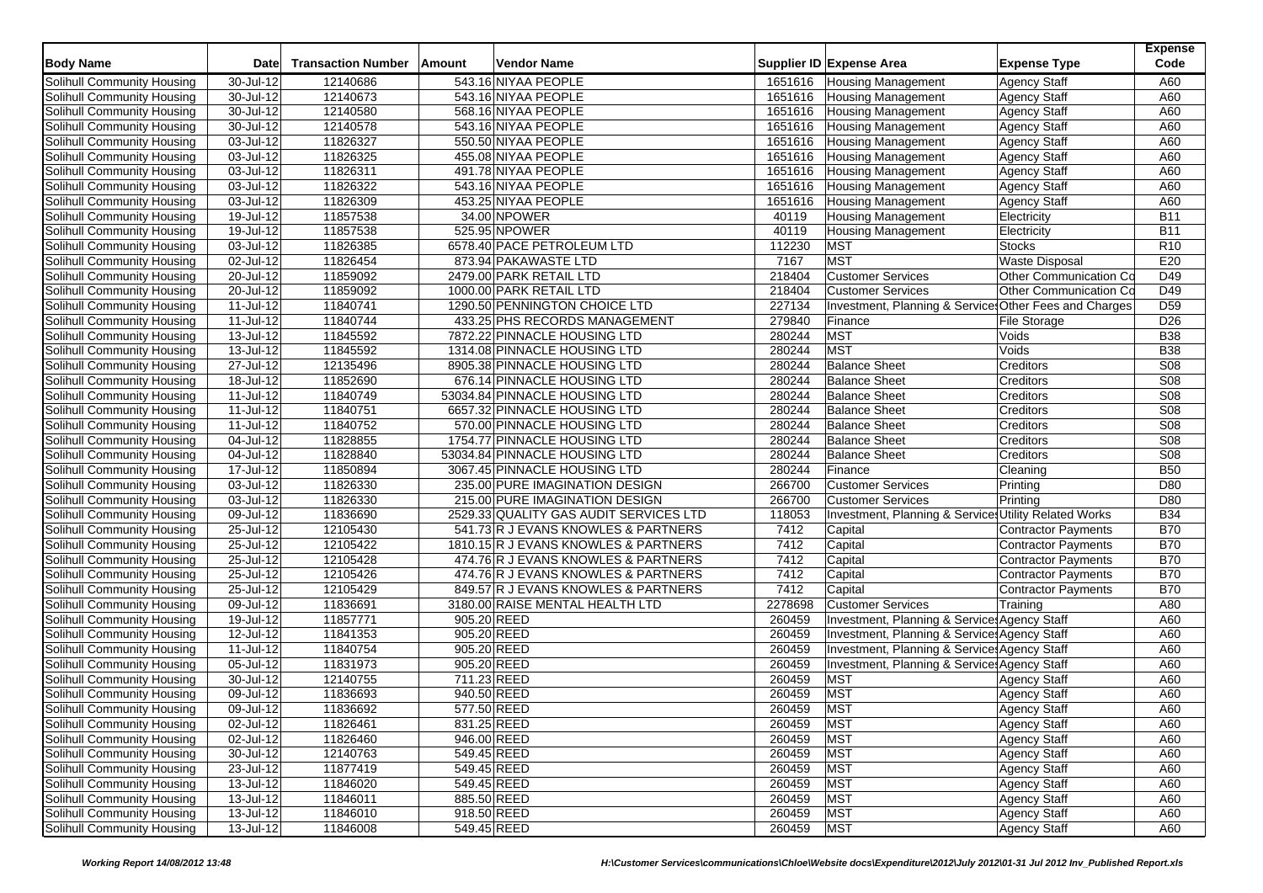| <b>Body Name</b>                  | <b>Date</b>   | <b>Transaction Number</b> | Amount      | <b>Vendor Name</b>                     |         | Supplier ID Expense Area                               | <b>Expense Type</b>        | <b>Expense</b><br>Code |
|-----------------------------------|---------------|---------------------------|-------------|----------------------------------------|---------|--------------------------------------------------------|----------------------------|------------------------|
| Solihull Community Housing        | 30-Jul-12     | 12140686                  |             | 543.16 NIYAA PEOPLE                    | 1651616 | <b>Housing Management</b>                              | <b>Agency Staff</b>        | A60                    |
| Solihull Community Housing        | 30-Jul-12     | 12140673                  |             | 543.16 NIYAA PEOPLE                    | 1651616 | Housing Management                                     | <b>Agency Staff</b>        | A60                    |
| Solihull Community Housing        | 30-Jul-12     | 12140580                  |             | 568.16 NIYAA PEOPLE                    | 1651616 | Housing Management                                     | <b>Agency Staff</b>        | A60                    |
| Solihull Community Housing        | 30-Jul-12     | 12140578                  |             | 543.16 NIYAA PEOPLE                    | 1651616 | <b>Housing Management</b>                              | <b>Agency Staff</b>        | A60                    |
| Solihull Community Housing        | 03-Jul-12     | 11826327                  |             | 550.50 NIYAA PEOPLE                    | 1651616 | <b>Housing Management</b>                              | <b>Agency Staff</b>        | A60                    |
| Solihull Community Housing        | 03-Jul-12     | 11826325                  |             | 455.08 NIYAA PEOPLE                    | 1651616 | <b>Housing Management</b>                              | <b>Agency Staff</b>        | A60                    |
| Solihull Community Housing        | 03-Jul-12     | 11826311                  |             | 491.78 NIYAA PEOPLE                    | 1651616 | <b>Housing Management</b>                              | <b>Agency Staff</b>        | A60                    |
| Solihull Community Housing        | 03-Jul-12     | 11826322                  |             | 543.16 NIYAA PEOPLE                    | 1651616 | <b>Housing Management</b>                              | <b>Agency Staff</b>        | A60                    |
| Solihull Community Housing        | 03-Jul-12     | 11826309                  |             | 453.25 NIYAA PEOPLE                    | 1651616 | <b>Housing Management</b>                              | <b>Agency Staff</b>        | A60                    |
| Solihull Community Housing        | 19-Jul-12     | 11857538                  |             | 34.00 NPOWER                           | 40119   | <b>Housing Management</b>                              | Electricity                | <b>B11</b>             |
| Solihull Community Housing        | 19-Jul-12     | 11857538                  |             | 525.95 NPOWER                          | 40119   | <b>Housing Management</b>                              | Electricity                | <b>B11</b>             |
| Solihull Community Housing        | 03-Jul-12     | 11826385                  |             | 6578.40 PACE PETROLEUM LTD             | 112230  | <b>MST</b>                                             | <b>Stocks</b>              | R <sub>10</sub>        |
| Solihull Community Housing        | 02-Jul-12     | 11826454                  |             | 873.94 PAKAWASTE LTD                   | 7167    | <b>MST</b>                                             | <b>Waste Disposal</b>      | E20                    |
| Solihull Community Housing        | 20-Jul-12     | 11859092                  |             | 2479.00 PARK RETAIL LTD                | 218404  | <b>Customer Services</b>                               | Other Communication Co     | D49                    |
| Solihull Community Housing        | 20-Jul-12     | 11859092                  |             | 1000.00 PARK RETAIL LTD                | 218404  | <b>Customer Services</b>                               | Other Communication Co     | D49                    |
| Solihull Community Housing        | 11-Jul-12     | 11840741                  |             | 1290.50 PENNINGTON CHOICE LTD          | 227134  | Investment, Planning & Services Other Fees and Charges |                            | D <sub>59</sub>        |
| Solihull Community Housing        | 11-Jul-12     | 11840744                  |             | 433.25 PHS RECORDS MANAGEMENT          | 279840  | Finance                                                | <b>File Storage</b>        | D <sub>26</sub>        |
| <b>Solihull Community Housing</b> | 13-Jul-12     | 11845592                  |             | 7872.22 PINNACLE HOUSING LTD           | 280244  | <b>MST</b>                                             | Voids                      | <b>B38</b>             |
| Solihull Community Housing        | 13-Jul-12     | 11845592                  |             | 1314.08 PINNACLE HOUSING LTD           | 280244  | <b>MST</b>                                             | Voids                      | <b>B38</b>             |
| Solihull Community Housing        | 27-Jul-12     | 12135496                  |             | 8905.38 PINNACLE HOUSING LTD           | 280244  | <b>Balance Sheet</b>                                   | Creditors                  | S <sub>08</sub>        |
| Solihull Community Housing        | 18-Jul-12     | 11852690                  |             | 676.14 PINNACLE HOUSING LTD            | 280244  | <b>Balance Sheet</b>                                   | Creditors                  | <b>S08</b>             |
| <b>Solihull Community Housing</b> | 11-Jul-12     | 11840749                  |             | 53034.84 PINNACLE HOUSING LTD          | 280244  | <b>Balance Sheet</b>                                   | Creditors                  | S08                    |
| Solihull Community Housing        | 11-Jul-12     | 11840751                  |             | 6657.32 PINNACLE HOUSING LTD           | 280244  | <b>Balance Sheet</b>                                   | Creditors                  | S <sub>08</sub>        |
| Solihull Community Housing        | 11-Jul-12     | 11840752                  |             | 570.00 PINNACLE HOUSING LTD            | 280244  | <b>Balance Sheet</b>                                   | Creditors                  | <b>S08</b>             |
| Solihull Community Housing        | 04-Jul-12     | 11828855                  |             | 1754.77 PINNACLE HOUSING LTD           | 280244  | <b>Balance Sheet</b>                                   | Creditors                  | S08                    |
| Solihull Community Housing        | 04-Jul-12     | 11828840                  |             | 53034.84 PINNACLE HOUSING LTD          | 280244  | <b>Balance Sheet</b>                                   | Creditors                  | S08                    |
| Solihull Community Housing        | 17-Jul-12     | 11850894                  |             | 3067.45 PINNACLE HOUSING LTD           | 280244  | Finance                                                | Cleaning                   | <b>B50</b>             |
| Solihull Community Housing        | 03-Jul-12     | 11826330                  |             | 235.00 PURE IMAGINATION DESIGN         | 266700  | <b>Customer Services</b>                               | Printing                   | D80                    |
| Solihull Community Housing        | 03-Jul-12     | 11826330                  |             | 215.00 PURE IMAGINATION DESIGN         | 266700  | <b>Customer Services</b>                               | Printing                   | D80                    |
| Solihull Community Housing        | 09-Jul-12     | 11836690                  |             | 2529.33 QUALITY GAS AUDIT SERVICES LTD | 118053  | Investment, Planning & Services Utility Related Works  |                            | <b>B34</b>             |
| Solihull Community Housing        | 25-Jul-12     | 12105430                  |             | 541.73 R J EVANS KNOWLES & PARTNERS    | 7412    | Capital                                                | Contractor Payments        | <b>B70</b>             |
| Solihull Community Housing        | 25-Jul-12     | 12105422                  |             | 1810.15 R J EVANS KNOWLES & PARTNERS   | 7412    | Capital                                                | <b>Contractor Payments</b> | <b>B70</b>             |
| Solihull Community Housing        | 25-Jul-12     | 12105428                  |             | 474.76 R J EVANS KNOWLES & PARTNERS    | 7412    | Capital                                                | <b>Contractor Payments</b> | <b>B70</b>             |
| Solihull Community Housing        | 25-Jul-12     | 12105426                  |             | 474.76 R J EVANS KNOWLES & PARTNERS    | 7412    | Capital                                                | Contractor Payments        | <b>B70</b>             |
| Solihull Community Housing        | $25 -$ Jul-12 | 12105429                  |             | 849.57 R J EVANS KNOWLES & PARTNERS    | 7412    | Capital                                                | <b>Contractor Payments</b> | <b>B70</b>             |
| Solihull Community Housing        | 09-Jul-12     | 11836691                  |             | 3180.00 RAISE MENTAL HEALTH LTD        | 2278698 | <b>Customer Services</b>                               | Training                   | A80                    |
| Solihull Community Housing        | 19-Jul-12     | 11857771                  | 905.20 REED |                                        | 260459  | Investment, Planning & Services Agency Staff           |                            | A60                    |
| Solihull Community Housing        | 12-Jul-12     | 11841353                  | 905.20 REED |                                        | 260459  | Investment, Planning & Services Agency Staff           |                            | A60                    |
| Solihull Community Housing        | 11-Jul-12     | 11840754                  | 905.20 REED |                                        | 260459  | Investment, Planning & Services Agency Staff           |                            | A60                    |
| Solihull Community Housing        | 05-Jul-12     | 11831973                  | 905.20 REED |                                        | 260459  | Investment, Planning & Services Agency Staff           |                            | A60                    |
| Solihull Community Housing        | 30-Jul-12     | 12140755                  | 711.23 REED |                                        | 260459  | <b>MST</b>                                             | <b>Agency Staff</b>        | A60                    |
| Solihull Community Housing        | 09-Jul-12     | 11836693                  | 940.50 REED |                                        | 260459  | <b>MST</b>                                             | <b>Agency Staff</b>        | A60                    |
| Solihull Community Housing        | 09-Jul-12     | 11836692                  | 577.50 REED |                                        | 260459  | <b>MST</b>                                             | <b>Agency Staff</b>        | A60                    |
| Solihull Community Housing        | 02-Jul-12     | 11826461                  | 831.25 REED |                                        | 260459  | <b>MST</b>                                             | <b>Agency Staff</b>        | A60                    |
| Solihull Community Housing        | 02-Jul-12     | 11826460                  | 946.00 REED |                                        | 260459  | <b>MST</b>                                             | <b>Agency Staff</b>        | A60                    |
| Solihull Community Housing        | 30-Jul-12     | 12140763                  | 549.45 REED |                                        | 260459  | <b>MST</b>                                             | Agency Staff               | A60                    |
| Solihull Community Housing        | 23-Jul-12     | 11877419                  | 549.45 REED |                                        | 260459  | <b>MST</b>                                             | <b>Agency Staff</b>        | A60                    |
| Solihull Community Housing        | $13$ -Jul-12  | 11846020                  | 549.45 REED |                                        | 260459  | <b>MST</b>                                             | <b>Agency Staff</b>        | A60                    |
| Solihull Community Housing        | 13-Jul-12     | 11846011                  | 885.50 REED |                                        | 260459  | <b>MST</b>                                             | <b>Agency Staff</b>        | A60                    |
| Solihull Community Housing        | $13 -$ Jul-12 | 11846010                  | 918.50 REED |                                        | 260459  | MST                                                    | <b>Agency Staff</b>        | A60                    |
| Solihull Community Housing        | 13-Jul-12     | 11846008                  | 549.45 REED |                                        | 260459  | <b>MST</b>                                             | <b>Agency Staff</b>        | A60                    |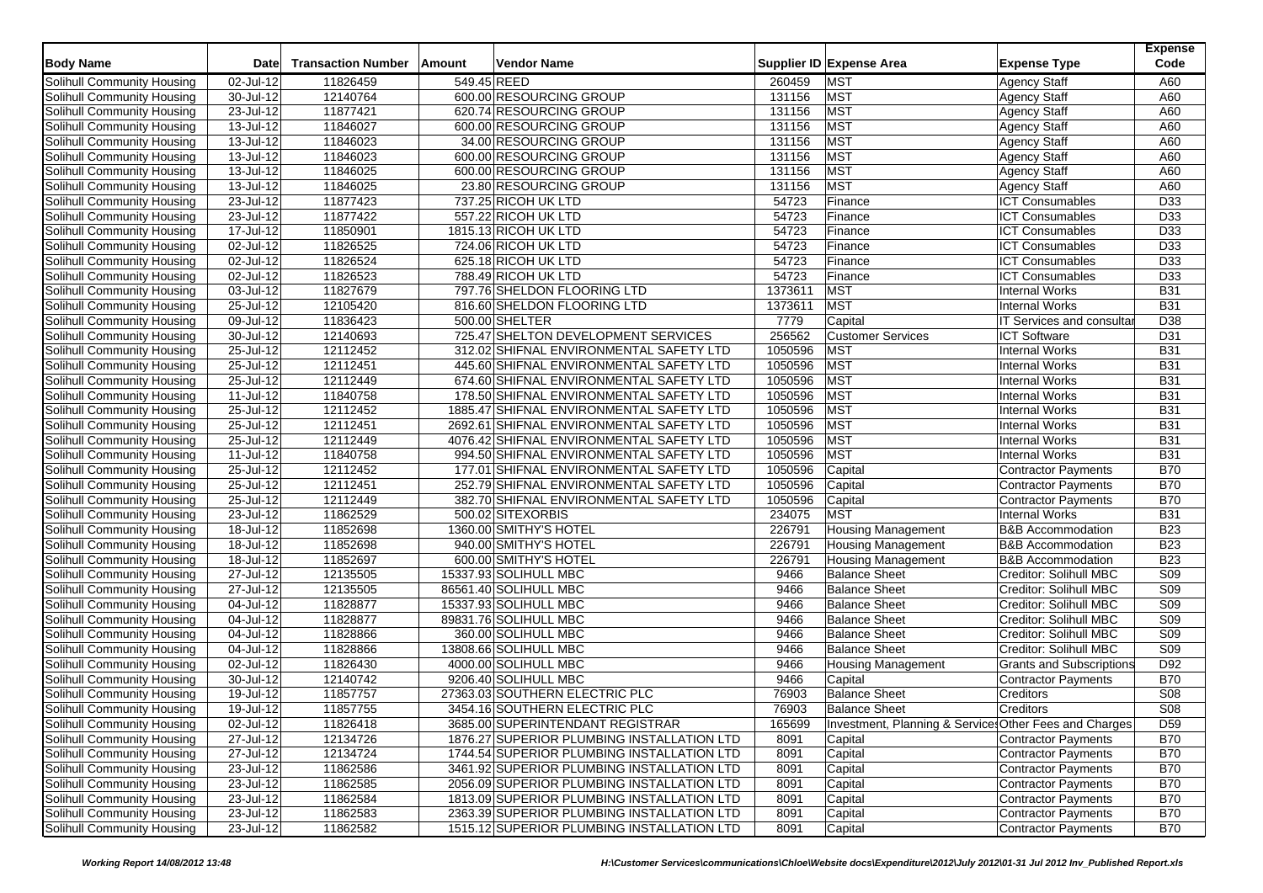| <b>Body Name</b>                  | Date                    | <b>Transaction Number</b> | Amount | Vendor Name                                |         | Supplier ID Expense Area                               | <b>Expense Type</b>             | <b>Expense</b><br>Code |
|-----------------------------------|-------------------------|---------------------------|--------|--------------------------------------------|---------|--------------------------------------------------------|---------------------------------|------------------------|
| Solihull Community Housing        | 02-Jul-12               | 11826459                  |        | 549.45 REED                                | 260459  | <b>MST</b>                                             | <b>Agency Staff</b>             | A60                    |
| Solihull Community Housing        | 30-Jul-12               | 12140764                  |        | 600.00 RESOURCING GROUP                    | 131156  | <b>MST</b>                                             | <b>Agency Staff</b>             | A60                    |
| Solihull Community Housing        | 23-Jul-12               | 11877421                  |        | 620.74 RESOURCING GROUP                    | 131156  | <b>MST</b>                                             | <b>Agency Staff</b>             | A60                    |
| Solihull Community Housing        | 13-Jul-12               | 11846027                  |        | 600.00 RESOURCING GROUP                    | 131156  | <b>MST</b>                                             | <b>Agency Staff</b>             | A60                    |
| Solihull Community Housing        | 13-Jul-12               | 11846023                  |        | 34.00 RESOURCING GROUP                     | 131156  | <b>MST</b>                                             | Agency Staff                    | A60                    |
| Solihull Community Housing        | 13-Jul-12               | 11846023                  |        | 600.00 RESOURCING GROUP                    | 131156  | <b>MST</b>                                             | <b>Agency Staff</b>             | A60                    |
| Solihull Community Housing        | 13-Jul-12               | 11846025                  |        | 600.00 RESOURCING GROUP                    | 131156  | <b>MST</b>                                             | <b>Agency Staff</b>             | A60                    |
| <b>Solihull Community Housing</b> | 13-Jul-12               | 11846025                  |        | 23.80 RESOURCING GROUP                     | 131156  | <b>MST</b>                                             | <b>Agency Staff</b>             | A60                    |
| Solihull Community Housing        | 23-Jul-12               | 11877423                  |        | 737.25 RICOH UK LTD                        | 54723   | Finance                                                | <b>ICT Consumables</b>          | D33                    |
| Solihull Community Housing        | 23-Jul-12               | 11877422                  |        | 557.22 RICOH UK LTD                        | 54723   | Finance                                                | <b>ICT Consumables</b>          | D <sub>33</sub>        |
| Solihull Community Housing        | 17-Jul-12               | 11850901                  |        | 1815.13 RICOH UK LTD                       | 54723   | Finance                                                | <b>ICT Consumables</b>          | D33                    |
| Solihull Community Housing        | 02-Jul-12               | 11826525                  |        | 724.06 RICOH UK LTD                        | 54723   | Finance                                                | <b>ICT Consumables</b>          | D33                    |
| Solihull Community Housing        | 02-Jul-12               | 11826524                  |        | 625.18 RICOH UK LTD                        | 54723   | Finance                                                | <b>ICT Consumables</b>          | D <sub>33</sub>        |
| Solihull Community Housing        | 02-Jul-12               | 11826523                  |        | 788.49 RICOH UK LTD                        | 54723   | Finance                                                | <b>ICT Consumables</b>          | D33                    |
|                                   |                         | 11827679                  |        |                                            | 1373611 |                                                        |                                 | <b>B31</b>             |
| Solihull Community Housing        | 03-Jul-12               |                           |        | 797.76 SHELDON FLOORING LTD                |         | <b>MST</b><br><b>MST</b>                               | <b>Internal Works</b>           | <b>B31</b>             |
| Solihull Community Housing        | 25-Jul-12               | 12105420                  |        | 816.60 SHELDON FLOORING LTD                | 1373611 |                                                        | <b>Internal Works</b>           |                        |
| Solihull Community Housing        | 09-Jul-12               | 11836423                  |        | 500.00 SHELTER                             | 7779    | Capital                                                | IT Services and consulta        | D <sub>38</sub>        |
| Solihull Community Housing        | 30-Jul-12               | 12140693                  |        | 725.47 SHELTON DEVELOPMENT SERVICES        | 256562  | <b>Customer Services</b>                               | <b>ICT Software</b>             | D31                    |
| Solihull Community Housing        | $25 -$ Jul-12           | 12112452                  |        | 312.02 SHIFNAL ENVIRONMENTAL SAFETY LTD    | 1050596 | <b>MST</b>                                             | <b>Internal Works</b>           | <b>B31</b>             |
| Solihull Community Housing        | 25-Jul-12               | 12112451                  |        | 445.60 SHIFNAL ENVIRONMENTAL SAFETY LTD    | 1050596 | <b>MST</b>                                             | <b>Internal Works</b>           | <b>B31</b>             |
| Solihull Community Housing        | 25-Jul-12               | 12112449                  |        | 674.60 SHIFNAL ENVIRONMENTAL SAFETY LTD    | 1050596 | <b>MST</b>                                             | <b>Internal Works</b>           | <b>B31</b>             |
| <b>Solihull Community Housing</b> | $11$ -Jul-12            | 11840758                  |        | 178.50 SHIFNAL ENVIRONMENTAL SAFETY LTD    | 1050596 | <b>MST</b>                                             | <b>Internal Works</b>           | <b>B31</b>             |
| Solihull Community Housing        | 25-Jul-12               | 12112452                  |        | 1885.47 SHIFNAL ENVIRONMENTAL SAFETY LTD   | 1050596 | <b>MST</b>                                             | <b>Internal Works</b>           | <b>B31</b>             |
| Solihull Community Housing        | 25-Jul-12               | 12112451                  |        | 2692.61 SHIFNAL ENVIRONMENTAL SAFETY LTD   | 1050596 | <b>MST</b>                                             | <b>Internal Works</b>           | <b>B31</b>             |
| Solihull Community Housing        | 25-Jul-12               | 12112449                  |        | 4076.42 SHIFNAL ENVIRONMENTAL SAFETY LTD   | 1050596 | <b>MST</b>                                             | <b>Internal Works</b>           | <b>B31</b>             |
| Solihull Community Housing        | 11-Jul-12               | 11840758                  |        | 994.50 SHIFNAL ENVIRONMENTAL SAFETY LTD    | 1050596 | <b>MST</b>                                             | <b>Internal Works</b>           | <b>B31</b>             |
| Solihull Community Housing        | 25-Jul-12               | 12112452                  |        | 177.01 SHIFNAL ENVIRONMENTAL SAFETY LTD    | 1050596 | Capital                                                | Contractor Payments             | <b>B70</b>             |
| Solihull Community Housing        | 25-Jul-12               | 12112451                  |        | 252.79 SHIFNAL ENVIRONMENTAL SAFETY LTD    | 1050596 | Capital                                                | Contractor Payments             | <b>B70</b>             |
| Solihull Community Housing        | 25-Jul-12               | 12112449                  |        | 382.70 SHIFNAL ENVIRONMENTAL SAFETY LTD    | 1050596 | Capital                                                | Contractor Payments             | <b>B70</b>             |
| Solihull Community Housing        | 23-Jul-12               | 11862529                  |        | 500.02 SITEXORBIS                          | 234075  | <b>MST</b>                                             | Internal Works                  | <b>B31</b>             |
| Solihull Community Housing        | 18-Jul-12               | 11852698                  |        | 1360.00 SMITHY'S HOTEL                     | 226791  | <b>Housing Management</b>                              | <b>B&amp;B Accommodation</b>    | <b>B23</b>             |
| Solihull Community Housing        | 18-Jul-12               | 11852698                  |        | 940.00 SMITHY'S HOTEL                      | 226791  | <b>Housing Management</b>                              | <b>B&amp;B Accommodation</b>    | <b>B23</b>             |
| Solihull Community Housing        | $18 -$ Jul-12           | 11852697                  |        | 600.00 SMITHY'S HOTEL                      | 226791  | <b>Housing Management</b>                              | <b>B&amp;B Accommodation</b>    | <b>B23</b>             |
| Solihull Community Housing        | $\overline{27}$ -Jul-12 | 12135505                  |        | 15337.93 SOLIHULL MBC                      | 9466    | <b>Balance Sheet</b>                                   | Creditor: Solihull MBC          | S09                    |
| Solihull Community Housing        | 27-Jul-12               | 12135505                  |        | 86561.40 SOLIHULL MBC                      | 9466    | <b>Balance Sheet</b>                                   | Creditor: Solihull MBC          | S <sub>09</sub>        |
| Solihull Community Housing        | 04-Jul-12               | 11828877                  |        | 15337.93 SOLIHULL MBC                      | 9466    | <b>Balance Sheet</b>                                   | Creditor: Solihull MBC          | S <sub>09</sub>        |
| Solihull Community Housing        | $\overline{04}$ -Jul-12 | 11828877                  |        | 89831.76 SOLIHULL MBC                      | 9466    | <b>Balance Sheet</b>                                   | Creditor: Solihull MBC          | S <sub>09</sub>        |
| Solihull Community Housing        | 04-Jul-12               | 11828866                  |        | 360.00 SOLIHULL MBC                        | 9466    | <b>Balance Sheet</b>                                   | Creditor: Solihull MBC          | S <sub>09</sub>        |
| Solihull Community Housing        | 04-Jul-12               | 11828866                  |        | 13808.66 SOLIHULL MBC                      | 9466    | <b>Balance Sheet</b>                                   | Creditor: Solihull MBC          | S <sub>09</sub>        |
| Solihull Community Housing        | 02-Jul-12               | 11826430                  |        | 4000.00 SOLIHULL MBC                       | 9466    | <b>Housing Management</b>                              | <b>Grants and Subscriptions</b> | D92                    |
| Solihull Community Housing        | 30-Jul-12               | 12140742                  |        | 9206.40 SOLIHULL MBC                       | 9466    | Capital                                                | <b>Contractor Payments</b>      | <b>B70</b>             |
| Solihull Community Housing        | 19-Jul-12               | 11857757                  |        | 27363.03 SOUTHERN ELECTRIC PLC             | 76903   | <b>Balance Sheet</b>                                   | Creditors                       | <b>S08</b>             |
| Solihull Community Housing        | 19-Jul-12               | 11857755                  |        | 3454.16 SOUTHERN ELECTRIC PLC              | 76903   | <b>Balance Sheet</b>                                   | Creditors                       | S <sub>08</sub>        |
| Solihull Community Housing        | 02-Jul-12               | 11826418                  |        | 3685.00 SUPERINTENDANT REGISTRAR           | 165699  | Investment, Planning & Services Other Fees and Charges |                                 | D <sub>59</sub>        |
| Solihull Community Housing        | 27-Jul-12               | 12134726                  |        | 1876.27 SUPERIOR PLUMBING INSTALLATION LTD | 8091    | Capital                                                | Contractor Payments             | <b>B70</b>             |
| Solihull Community Housing        | 27-Jul-12               | 12134724                  |        | 1744.54 SUPERIOR PLUMBING INSTALLATION LTD | 8091    | Capital                                                | Contractor Payments             | <b>B70</b>             |
| Solihull Community Housing        | 23-Jul-12               | 11862586                  |        | 3461.92 SUPERIOR PLUMBING INSTALLATION LTD | 8091    | Capital                                                | Contractor Payments             | <b>B70</b>             |
| Solihull Community Housing        | 23-Jul-12               | 11862585                  |        | 2056.09 SUPERIOR PLUMBING INSTALLATION LTD | 8091    | Capital                                                | Contractor Payments             | <b>B70</b>             |
| Solihull Community Housing        | 23-Jul-12               | 11862584                  |        | 1813.09 SUPERIOR PLUMBING INSTALLATION LTD | 8091    | Capital                                                | Contractor Payments             | <b>B70</b>             |
| Solihull Community Housing        | 23-Jul-12               | 11862583                  |        | 2363.39 SUPERIOR PLUMBING INSTALLATION LTD | 8091    | Capital                                                | Contractor Payments             | <b>B70</b>             |
| Solihull Community Housing        | $23$ -Jul-12            | 11862582                  |        | 1515.12 SUPERIOR PLUMBING INSTALLATION LTD | 8091    | Capital                                                | Contractor Payments             | <b>B70</b>             |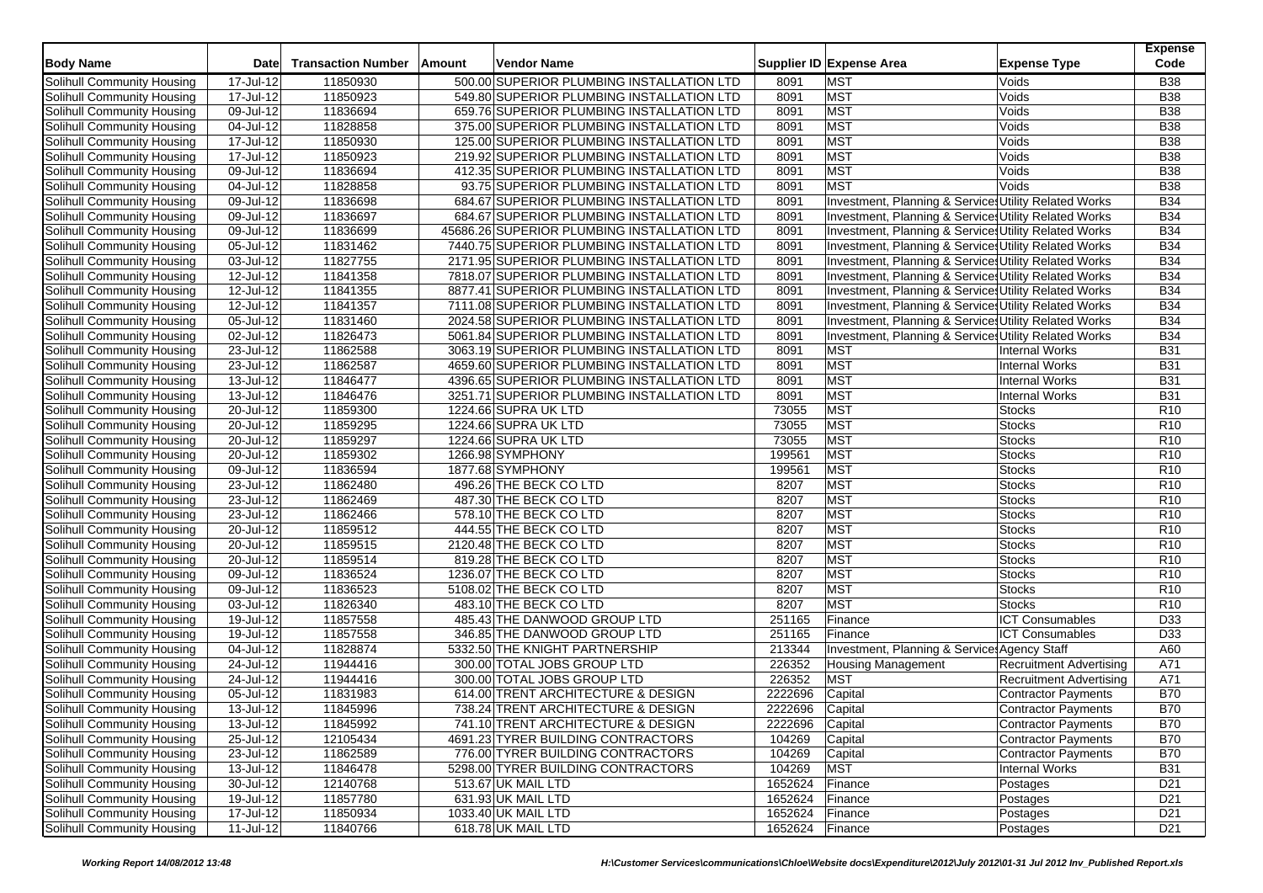| <b>Body Name</b>                  | <b>Date</b>             | <b>Transaction Number</b> | Amount | <b>Vendor Name</b>                          |                 | Supplier ID Expense Area                              | <b>Expense Type</b>            | <b>Expense</b><br>Code |
|-----------------------------------|-------------------------|---------------------------|--------|---------------------------------------------|-----------------|-------------------------------------------------------|--------------------------------|------------------------|
| Solihull Community Housing        | 17-Jul-12               | 11850930                  |        | 500.00 SUPERIOR PLUMBING INSTALLATION LTD   | 8091            | <b>MST</b>                                            | Voids                          | <b>B38</b>             |
| Solihull Community Housing        | 17-Jul-12               | 11850923                  |        | 549.80 SUPERIOR PLUMBING INSTALLATION LTD   | 8091            | <b>MST</b>                                            | Voids                          | <b>B38</b>             |
| Solihull Community Housing        | 09-Jul-12               | 11836694                  |        | 659.76 SUPERIOR PLUMBING INSTALLATION LTD   | 8091            | <b>MST</b>                                            | Voids                          | <b>B38</b>             |
| Solihull Community Housing        | 04-Jul-12               | 11828858                  |        | 375.00 SUPERIOR PLUMBING INSTALLATION LTD   | 8091            | <b>MST</b>                                            | Voids                          | <b>B38</b>             |
| Solihull Community Housing        | 17-Jul-12               | 11850930                  |        | 125.00 SUPERIOR PLUMBING INSTALLATION LTD   | 8091            | <b>MST</b>                                            | Voids                          | <b>B38</b>             |
| Solihull Community Housing        | 17-Jul-12               | 11850923                  |        | 219.92 SUPERIOR PLUMBING INSTALLATION LTD   | 8091            | <b>MST</b>                                            | Voids                          | <b>B38</b>             |
| Solihull Community Housing        | 09-Jul-12               | 11836694                  |        | 412.35 SUPERIOR PLUMBING INSTALLATION LTD   | 8091            | <b>MST</b>                                            | Voids                          | <b>B38</b>             |
| Solihull Community Housing        | 04-Jul-12               | 11828858                  |        | 93.75 SUPERIOR PLUMBING INSTALLATION LTD    | 8091            | <b>MST</b>                                            | Voids                          | <b>B</b> 38            |
| Solihull Community Housing        | 09-Jul-12               | 11836698                  |        | 684.67 SUPERIOR PLUMBING INSTALLATION LTD   | 8091            | Investment, Planning & Services Utility Related Works |                                | <b>B34</b>             |
| Solihull Community Housing        | 09-Jul-12               | 11836697                  |        | 684.67 SUPERIOR PLUMBING INSTALLATION LTD   | 8091            | Investment, Planning & Services Utility Related Works |                                | <b>B34</b>             |
| Solihull Community Housing        | 09-Jul-12               | 11836699                  |        | 45686.26 SUPERIOR PLUMBING INSTALLATION LTD | 8091            | Investment, Planning & Services Utility Related Works |                                | <b>B34</b>             |
| Solihull Community Housing        | 05-Jul-12               | 11831462                  |        | 7440.75 SUPERIOR PLUMBING INSTALLATION LTD  | 8091            | Investment, Planning & Services Utility Related Works |                                | <b>B34</b>             |
| Solihull Community Housing        | 03-Jul-12               | 11827755                  |        | 2171.95 SUPERIOR PLUMBING INSTALLATION LTD  | 8091            | Investment, Planning & Services Utility Related Works |                                | <b>B34</b>             |
| Solihull Community Housing        | 12-Jul-12               | 11841358                  |        | 7818.07 SUPERIOR PLUMBING INSTALLATION LTD  | 8091            | Investment, Planning & Services Utility Related Works |                                | <b>B34</b>             |
| Solihull Community Housing        | 12-Jul-12               | 11841355                  |        | 8877.41 SUPERIOR PLUMBING INSTALLATION LTD  | 8091            | Investment, Planning & Services Utility Related Works |                                | <b>B34</b>             |
| Solihull Community Housing        | 12-Jul-12               | 11841357                  |        | 7111.08 SUPERIOR PLUMBING INSTALLATION LTD  | 8091            | Investment, Planning & Services Utility Related Works |                                | <b>B34</b>             |
| Solihull Community Housing        | 05-Jul-12               | 11831460                  |        | 2024.58 SUPERIOR PLUMBING INSTALLATION LTD  | 8091            | Investment, Planning & Services Utility Related Works |                                | <b>B34</b>             |
| Solihull Community Housing        | 02-Jul-12               | 11826473                  |        | 5061.84 SUPERIOR PLUMBING INSTALLATION LTD  | 8091            | Investment, Planning & Services Utility Related Works |                                | <b>B34</b>             |
| Solihull Community Housing        | 23-Jul-12               | 11862588                  |        | 3063.19 SUPERIOR PLUMBING INSTALLATION LTD  | 8091            | <b>MST</b>                                            | Internal Works                 | <b>B31</b>             |
| Solihull Community Housing        | 23-Jul-12               | 11862587                  |        | 4659.60 SUPERIOR PLUMBING INSTALLATION LTD  | 8091            | <b>MST</b>                                            | Internal Works                 | <b>B31</b>             |
| Solihull Community Housing        | $13$ -Jul-12            | 11846477                  |        | 4396.65 SUPERIOR PLUMBING INSTALLATION LTD  | 8091            | <b>MST</b>                                            | Internal Works                 | <b>B31</b>             |
| Solihull Community Housing        | $13$ -Jul-12            | 11846476                  |        | 3251.71 SUPERIOR PLUMBING INSTALLATION LTD  | 8091            | <b>MST</b>                                            | Internal Works                 | <b>B31</b>             |
| Solihull Community Housing        | 20-Jul-12               | 11859300                  |        | 1224.66 SUPRA UK LTD                        | 73055           | <b>MST</b>                                            | <b>Stocks</b>                  | R <sub>10</sub>        |
| Solihull Community Housing        | 20-Jul-12               | 11859295                  |        | 1224.66 SUPRA UK LTD                        | 73055           | <b>MST</b>                                            | <b>Stocks</b>                  | R <sub>10</sub>        |
| Solihull Community Housing        | 20-Jul-12               | 11859297                  |        | 1224.66 SUPRA UK LTD                        | 73055           | <b>MST</b>                                            | <b>Stocks</b>                  | R <sub>10</sub>        |
| Solihull Community Housing        | 20-Jul-12               | 11859302                  |        | 1266.98 SYMPHONY                            | 199561          | <b>MST</b>                                            | <b>Stocks</b>                  | R <sub>10</sub>        |
| Solihull Community Housing        | 09-Jul-12               | 11836594                  |        | 1877.68 SYMPHONY                            | 199561          | <b>MST</b>                                            | <b>Stocks</b>                  | R <sub>10</sub>        |
| Solihull Community Housing        | 23-Jul-12               | 11862480                  |        | 496.26 THE BECK CO LTD                      | 8207            | <b>MST</b>                                            | <b>Stocks</b>                  | R <sub>10</sub>        |
| Solihull Community Housing        | 23-Jul-12               | 11862469                  |        | 487.30 THE BECK CO LTD                      | 8207            | <b>MST</b>                                            | <b>Stocks</b>                  | R <sub>10</sub>        |
| Solihull Community Housing        | $23$ -Jul-12            | 11862466                  |        | 578.10 THE BECK CO LTD                      | 8207            | <b>MST</b>                                            | <b>Stocks</b>                  | <b>R10</b>             |
| Solihull Community Housing        | 20-Jul-12               | 11859512                  |        | 444.55 THE BECK CO LTD                      | 8207            | <b>MST</b>                                            | <b>Stocks</b>                  | R <sub>10</sub>        |
| Solihull Community Housing        | 20-Jul-12               | 11859515                  |        | 2120.48 THE BECK CO LTD                     | 8207            | <b>MST</b>                                            | <b>Stocks</b>                  | R <sub>10</sub>        |
| Solihull Community Housing        | $20 -$ Jul-12           | 11859514                  |        | 819.28 THE BECK CO LTD                      | 8207            | <b>MST</b>                                            | <b>Stocks</b>                  | R <sub>10</sub>        |
| Solihull Community Housing        | 09-Jul-12               | 11836524                  |        | 1236.07 THE BECK CO LTD                     | 8207            | <b>MST</b>                                            | <b>Stocks</b>                  | R <sub>10</sub>        |
| Solihull Community Housing        | 09-Jul-12               | 11836523                  |        | 5108.02 THE BECK CO LTD                     | 8207            | <b>MST</b>                                            | <b>Stocks</b>                  | R <sub>10</sub>        |
| <b>Solihull Community Housing</b> | $03$ -Jul-12            | 11826340                  |        | 483.10 THE BECK CO LTD                      | 8207            | <b>MST</b>                                            | <b>Stocks</b>                  | R <sub>10</sub>        |
| Solihull Community Housing        | 19-Jul-12               | 11857558                  |        | 485.43 THE DANWOOD GROUP LTD                | 251165          | Finance                                               | <b>ICT Consumables</b>         | D33                    |
| Solihull Community Housing        | 19-Jul-12               | 11857558                  |        | 346.85 THE DANWOOD GROUP LTD                | 251165          | Finance                                               | <b>ICT Consumables</b>         | D33                    |
| Solihull Community Housing        | 04-Jul-12               | 11828874                  |        | 5332.50 THE KNIGHT PARTNERSHIP              | 213344          | Investment, Planning & Service: Agency Staff          |                                | A60                    |
| Solihull Community Housing        | $\overline{24}$ -Jul-12 | 11944416                  |        | 300.00 TOTAL JOBS GROUP LTD                 | 226352          | <b>Housing Management</b>                             | <b>Recruitment Advertising</b> | A71                    |
| Solihull Community Housing        | 24-Jul-12               | 11944416                  |        | 300.00 TOTAL JOBS GROUP LTD                 | 226352          | <b>MST</b>                                            | <b>Recruitment Advertising</b> | A71                    |
| Solihull Community Housing        | $05$ -Jul-12            | 11831983                  |        | 614.00 TRENT ARCHITECTURE & DESIGN          | 2222696         | Capital                                               | Contractor Payments            | <b>B70</b>             |
| Solihull Community Housing        | 13-Jul-12               | 11845996                  |        | 738.24 TRENT ARCHITECTURE & DESIGN          | 2222696         | Capital                                               | <b>Contractor Payments</b>     | <b>B70</b>             |
| Solihull Community Housing        | $13$ -Jul-12            | 11845992                  |        | 741.10 TRENT ARCHITECTURE & DESIGN          | 2222696         | Capital                                               | Contractor Payments            | <b>B70</b>             |
| Solihull Community Housing        | $25 -$ Jul-12           | 12105434                  |        | 4691.23 TYRER BUILDING CONTRACTORS          | 104269          | Capital                                               | Contractor Payments            | <b>B70</b>             |
| Solihull Community Housing        | 23-Jul-12               | 11862589                  |        | 776.00 TYRER BUILDING CONTRACTORS           | 104269          | Capital                                               | <b>Contractor Payments</b>     | <b>B70</b>             |
| Solihull Community Housing        | $13$ -Jul-12            | 11846478                  |        | 5298.00 TYRER BUILDING CONTRACTORS          | 104269          | <b>MST</b>                                            | Internal Works                 | <b>B31</b>             |
| Solihull Community Housing        | 30-Jul-12               | 12140768                  |        | 513.67 UK MAIL LTD                          | 1652624 Finance |                                                       | Postages                       | D <sub>21</sub>        |
| Solihull Community Housing        | 19-Jul-12               | 11857780                  |        | 631.93 UK MAIL LTD                          | 1652624         | Finance                                               | Postages                       | D <sub>21</sub>        |
| <b>Solihull Community Housing</b> | 17-Jul-12               | 11850934                  |        | 1033.40 UK MAIL LTD                         | 1652624         | Finance                                               | Postages                       | D <sub>21</sub>        |
| Solihull Community Housing        | $11$ -Jul-12            | 11840766                  |        | 618.78 UK MAIL LTD                          | 1652624 Finance |                                                       | Postages                       | D <sub>21</sub>        |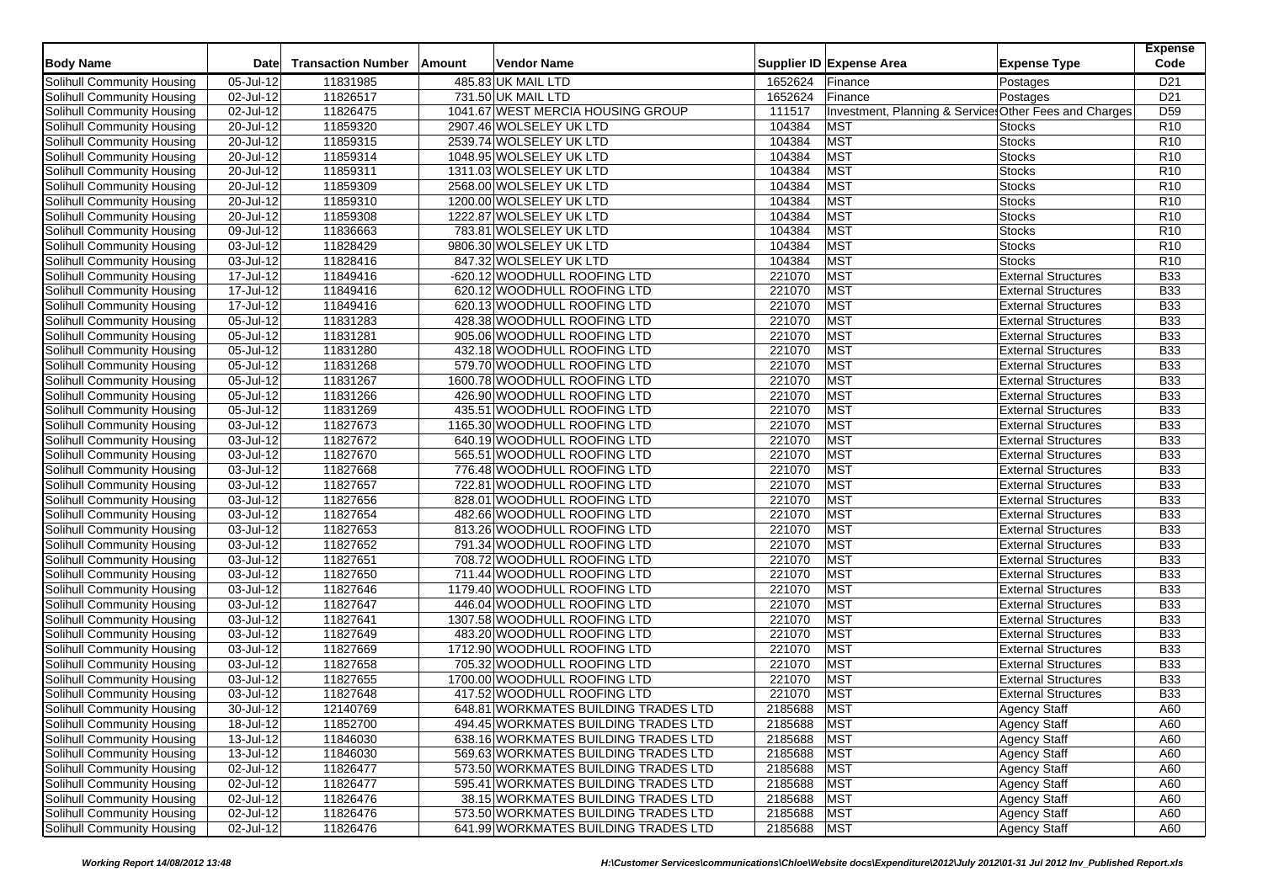| <b>Body Name</b>                  | <b>Date</b>  | <b>Transaction Number</b> | Amount | <b>Vendor Name</b>                   |             | Supplier ID Expense Area                               | <b>Expense Type</b>        | <b>Expense</b><br>Code |
|-----------------------------------|--------------|---------------------------|--------|--------------------------------------|-------------|--------------------------------------------------------|----------------------------|------------------------|
| Solihull Community Housing        | 05-Jul-12    | 11831985                  |        | 485.83 UK MAIL LTD                   | 1652624     | Finance                                                | Postages                   | D <sub>21</sub>        |
| Solihull Community Housing        | 02-Jul-12    | 11826517                  |        | 731.50 UK MAIL LTD                   | 1652624     | Finance                                                | Postages                   | D <sub>21</sub>        |
| Solihull Community Housing        | 02-Jul-12    | 11826475                  |        | 1041.67 WEST MERCIA HOUSING GROUP    | 111517      | Investment, Planning & Services Other Fees and Charges |                            | D <sub>59</sub>        |
| Solihull Community Housing        | 20-Jul-12    | 11859320                  |        | 2907.46 WOLSELEY UK LTD              | 104384      | <b>MST</b>                                             | <b>Stocks</b>              | R <sub>10</sub>        |
| Solihull Community Housing        | 20-Jul-12    | 11859315                  |        | 2539.74 WOLSELEY UK LTD              | 104384      | <b>MST</b>                                             | <b>Stocks</b>              | R <sub>10</sub>        |
| Solihull Community Housing        | 20-Jul-12    | 11859314                  |        | 1048.95 WOLSELEY UK LTD              | 104384      | <b>MST</b>                                             | <b>Stocks</b>              | R10                    |
| Solihull Community Housing        | 20-Jul-12    | 11859311                  |        | 1311.03 WOLSELEY UK LTD              | 104384      | <b>MST</b>                                             | <b>Stocks</b>              | R <sub>10</sub>        |
| Solihull Community Housing        | 20-Jul-12    | 11859309                  |        | 2568.00 WOLSELEY UK LTD              | 104384      | <b>MST</b>                                             | <b>Stocks</b>              | R <sub>10</sub>        |
| Solihull Community Housing        | 20-Jul-12    | 11859310                  |        | 1200.00 WOLSELEY UK LTD              | 104384      | <b>MST</b>                                             | <b>Stocks</b>              | R <sub>10</sub>        |
| Solihull Community Housing        | 20-Jul-12    | 11859308                  |        | 1222.87 WOLSELEY UK LTD              | 104384      | <b>MST</b>                                             | Stocks                     | R10                    |
| Solihull Community Housing        | 09-Jul-12    | 11836663                  |        | 783.81 WOLSELEY UK LTD               | 104384      | <b>MST</b>                                             | <b>Stocks</b>              | R <sub>10</sub>        |
| Solihull Community Housing        | 03-Jul-12    | 11828429                  |        | 9806.30 WOLSELEY UK LTD              | 104384      | <b>MST</b>                                             | <b>Stocks</b>              | R <sub>10</sub>        |
| Solihull Community Housing        | 03-Jul-12    | 11828416                  |        | 847.32 WOLSELEY UK LTD               | 104384      | MST                                                    | <b>Stocks</b>              | R <sub>10</sub>        |
| Solihull Community Housing        | 17-Jul-12    | 11849416                  |        | -620.12 WOODHULL ROOFING LTD         | 221070      | MST                                                    | <b>External Structures</b> | <b>B33</b>             |
| Solihull Community Housing        | 17-Jul-12    | 11849416                  |        | 620.12 WOODHULL ROOFING LTD          | 221070      | <b>MST</b>                                             | <b>External Structures</b> | <b>B33</b>             |
| Solihull Community Housing        | 17-Jul-12    | 11849416                  |        | 620.13 WOODHULL ROOFING LTD          | 221070      | MST                                                    | <b>External Structures</b> | <b>B33</b>             |
| Solihull Community Housing        | 05-Jul-12    | 11831283                  |        | 428.38 WOODHULL ROOFING LTD          | 221070      | <b>MST</b>                                             | <b>External Structures</b> | <b>B33</b>             |
| Solihull Community Housing        | 05-Jul-12    | 11831281                  |        | 905.06 WOODHULL ROOFING LTD          | 221070      | <b>MST</b>                                             | <b>External Structures</b> | <b>B33</b>             |
| Solihull Community Housing        | 05-Jul-12    | 11831280                  |        | 432.18 WOODHULL ROOFING LTD          | 221070      | <b>MST</b>                                             | <b>External Structures</b> | <b>B33</b>             |
| Solihull Community Housing        | 05-Jul-12    | 11831268                  |        | 579.70 WOODHULL ROOFING LTD          | 221070      | <b>MST</b>                                             | <b>External Structures</b> | <b>B33</b>             |
| Solihull Community Housing        | 05-Jul-12    | 11831267                  |        | 1600.78 WOODHULL ROOFING LTD         | 221070      | <b>MST</b>                                             | <b>External Structures</b> | <b>B33</b>             |
| <b>Solihull Community Housing</b> | 05-Jul-12    | 11831266                  |        | 426.90 WOODHULL ROOFING LTD          | 221070      | <b>MST</b>                                             | <b>External Structures</b> | <b>B33</b>             |
| Solihull Community Housing        | 05-Jul-12    | 11831269                  |        | 435.51 WOODHULL ROOFING LTD          | 221070      | <b>MST</b>                                             | <b>External Structures</b> | <b>B33</b>             |
| Solihull Community Housing        | 03-Jul-12    | 11827673                  |        | 1165.30 WOODHULL ROOFING LTD         | 221070      | <b>MST</b>                                             | <b>External Structures</b> | <b>B33</b>             |
| Solihull Community Housing        | 03-Jul-12    | 11827672                  |        | 640.19 WOODHULL ROOFING LTD          | 221070      | MST                                                    | <b>External Structures</b> | <b>B33</b>             |
| Solihull Community Housing        | 03-Jul-12    | 11827670                  |        | 565.51 WOODHULL ROOFING LTD          | 221070      | MST                                                    | <b>External Structures</b> | <b>B33</b>             |
| Solihull Community Housing        | 03-Jul-12    | 11827668                  |        | 776.48 WOODHULL ROOFING LTD          | 221070      | <b>MST</b>                                             | <b>External Structures</b> | <b>B33</b>             |
| Solihull Community Housing        | 03-Jul-12    | 11827657                  |        | 722.81 WOODHULL ROOFING LTD          | 221070      | MST                                                    | <b>External Structures</b> | <b>B33</b>             |
| Solihull Community Housing        | 03-Jul-12    | 11827656                  |        | 828.01 WOODHULL ROOFING LTD          | 221070      | <b>MST</b>                                             | <b>External Structures</b> | <b>B33</b>             |
| Solihull Community Housing        | 03-Jul-12    | 11827654                  |        | 482.66 WOODHULL ROOFING LTD          | 221070      | <b>MST</b>                                             | <b>External Structures</b> | <b>B33</b>             |
| Solihull Community Housing        | 03-Jul-12    | 11827653                  |        | 813.26 WOODHULL ROOFING LTD          | 221070      | MST                                                    | <b>External Structures</b> | <b>B33</b>             |
| Solihull Community Housing        | 03-Jul-12    | 11827652                  |        | 791.34 WOODHULL ROOFING LTD          | 221070      | <b>MST</b>                                             | <b>External Structures</b> | <b>B33</b>             |
| Solihull Community Housing        | 03-Jul-12    | 11827651                  |        | 708.72 WOODHULL ROOFING LTD          | 221070      | <b>MST</b>                                             | <b>External Structures</b> | <b>B33</b>             |
| Solihull Community Housing        | 03-Jul-12    | 11827650                  |        | 711.44 WOODHULL ROOFING LTD          | 221070      | MST                                                    | <b>External Structures</b> | <b>B33</b>             |
| Solihull Community Housing        | 03-Jul-12    | 11827646                  |        | 1179.40 WOODHULL ROOFING LTD         | 221070      | <b>MST</b>                                             | <b>External Structures</b> | <b>B33</b>             |
| Solihull Community Housing        | 03-Jul-12    | 11827647                  |        | 446.04 WOODHULL ROOFING LTD          | 221070      | <b>MST</b>                                             | <b>External Structures</b> | <b>B33</b>             |
| Solihull Community Housing        | 03-Jul-12    | 11827641                  |        | 1307.58 WOODHULL ROOFING LTD         | 221070      | MST                                                    | <b>External Structures</b> | <b>B33</b>             |
| Solihull Community Housing        | 03-Jul-12    | 11827649                  |        | 483.20 WOODHULL ROOFING LTD          | 221070      | <b>MST</b>                                             | <b>External Structures</b> | <b>B33</b>             |
| Solihull Community Housing        | 03-Jul-12    | 11827669                  |        | 1712.90 WOODHULL ROOFING LTD         | 221070      | <b>MST</b>                                             | <b>External Structures</b> | <b>B33</b>             |
| Solihull Community Housing        | 03-Jul-12    | 11827658                  |        | 705.32 WOODHULL ROOFING LTD          | 221070      | MST                                                    | <b>External Structures</b> | <b>B33</b>             |
| Solihull Community Housing        | 03-Jul-12    | 11827655                  |        | 1700.00 WOODHULL ROOFING LTD         | 221070      | <b>MST</b>                                             | <b>External Structures</b> | <b>B33</b>             |
| Solihull Community Housing        | 03-Jul-12    | 11827648                  |        | 417.52 WOODHULL ROOFING LTD          | 221070      | <b>MST</b>                                             | <b>External Structures</b> | <b>B33</b>             |
| Solihull Community Housing        | 30-Jul-12    | 12140769                  |        | 648.81 WORKMATES BUILDING TRADES LTD | 2185688     | <b>MST</b>                                             | <b>Agency Staff</b>        | A60                    |
| Solihull Community Housing        | 18-Jul-12    | 11852700                  |        | 494.45 WORKMATES BUILDING TRADES LTD | 2185688 MST |                                                        | <b>Agency Staff</b>        | A60                    |
| Solihull Community Housing        | $13$ -Jul-12 | 11846030                  |        | 638.16 WORKMATES BUILDING TRADES LTD | 2185688 MST |                                                        | <b>Agency Staff</b>        | A60                    |
| Solihull Community Housing        | 13-Jul-12    | 11846030                  |        | 569.63 WORKMATES BUILDING TRADES LTD | 2185688 MST |                                                        | <b>Agency Staff</b>        | A60                    |
| Solihull Community Housing        | 02-Jul-12    | 11826477                  |        | 573.50 WORKMATES BUILDING TRADES LTD | 2185688 MST |                                                        | <b>Agency Staff</b>        | A60                    |
| Solihull Community Housing        | 02-Jul-12    | 11826477                  |        | 595.41 WORKMATES BUILDING TRADES LTD | 2185688 MST |                                                        | <b>Agency Staff</b>        | A60                    |
| Solihull Community Housing        | 02-Jul-12    | 11826476                  |        | 38.15 WORKMATES BUILDING TRADES LTD  | 2185688     | <b>MST</b>                                             | <b>Agency Staff</b>        | A60                    |
| Solihull Community Housing        | 02-Jul-12    | 11826476                  |        | 573.50 WORKMATES BUILDING TRADES LTD | 2185688 MST |                                                        | <b>Agency Staff</b>        | A60                    |
| Solihull Community Housing        | 02-Jul-12    | 11826476                  |        | 641.99 WORKMATES BUILDING TRADES LTD | 2185688 MST |                                                        | <b>Agency Staff</b>        | A60                    |